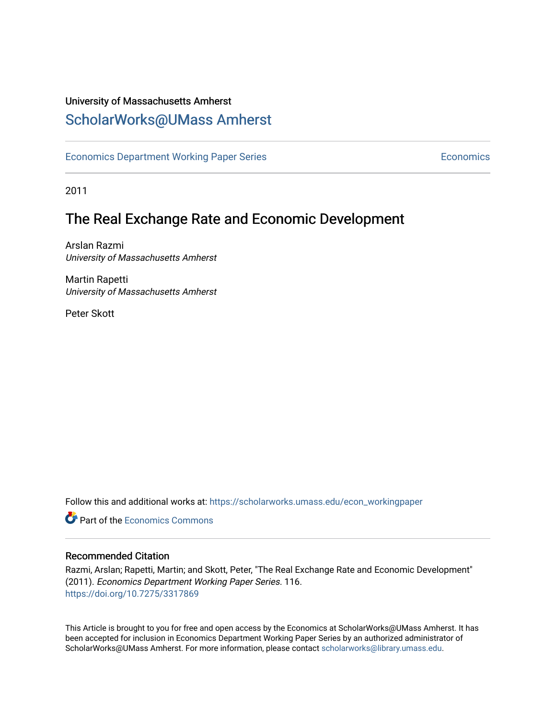# University of Massachusetts Amherst [ScholarWorks@UMass Amherst](https://scholarworks.umass.edu/)

[Economics Department Working Paper Series](https://scholarworks.umass.edu/econ_workingpaper) **Economics** Economics

2011

# The Real Exchange Rate and Economic Development

Arslan Razmi University of Massachusetts Amherst

Martin Rapetti University of Massachusetts Amherst

Peter Skott

Follow this and additional works at: [https://scholarworks.umass.edu/econ\\_workingpaper](https://scholarworks.umass.edu/econ_workingpaper?utm_source=scholarworks.umass.edu%2Fecon_workingpaper%2F116&utm_medium=PDF&utm_campaign=PDFCoverPages) 

**C** Part of the [Economics Commons](http://network.bepress.com/hgg/discipline/340?utm_source=scholarworks.umass.edu%2Fecon_workingpaper%2F116&utm_medium=PDF&utm_campaign=PDFCoverPages)

#### Recommended Citation

Razmi, Arslan; Rapetti, Martin; and Skott, Peter, "The Real Exchange Rate and Economic Development" (2011). Economics Department Working Paper Series. 116. <https://doi.org/10.7275/3317869>

This Article is brought to you for free and open access by the Economics at ScholarWorks@UMass Amherst. It has been accepted for inclusion in Economics Department Working Paper Series by an authorized administrator of ScholarWorks@UMass Amherst. For more information, please contact [scholarworks@library.umass.edu.](mailto:scholarworks@library.umass.edu)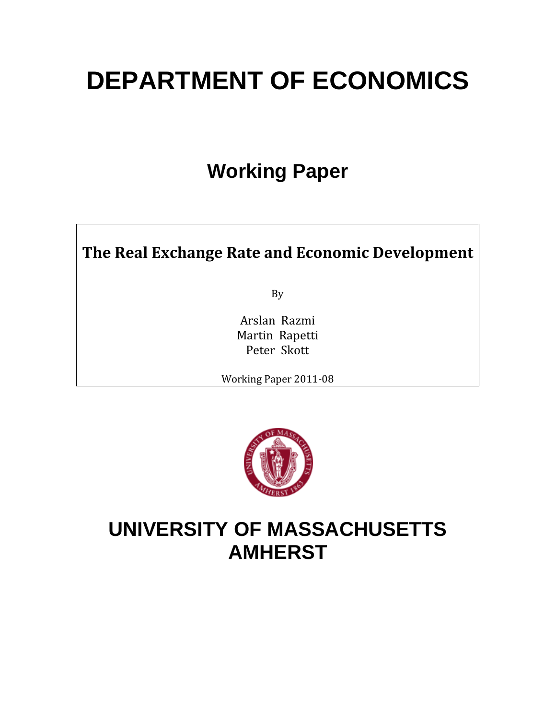# **DEPARTMENT OF ECONOMICS**

# **Working Paper**

# **The Real Exchange Rate and Economic Development**

By

Arslan Razmi Martin Rapetti Peter Skott

Working Paper 2011‐08



# **UNIVERSITY OF MASSACHUSETTS AMHERST**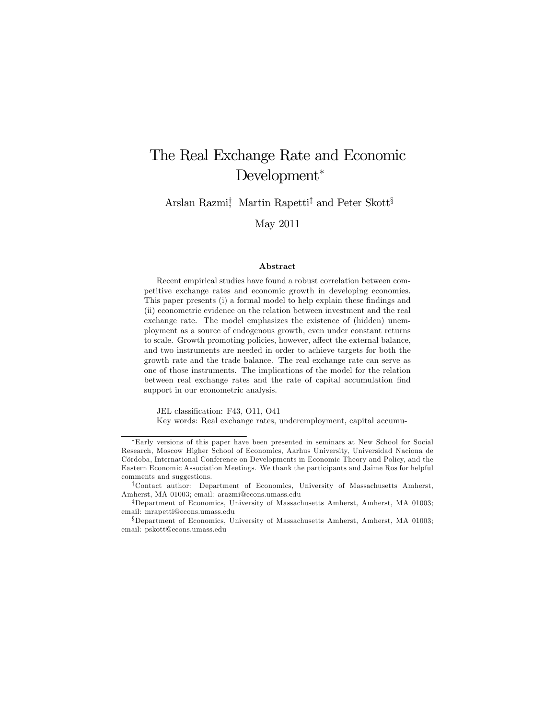# The Real Exchange Rate and Economic Development<sup>∗</sup>

Arslan Razmi† , Martin Rapetti‡ and Peter Skott§

May 2011

#### Abstract

Recent empirical studies have found a robust correlation between competitive exchange rates and economic growth in developing economies. This paper presents (i) a formal model to help explain these findings and (ii) econometric evidence on the relation between investment and the real exchange rate. The model emphasizes the existence of (hidden) unemployment as a source of endogenous growth, even under constant returns to scale. Growth promoting policies, however, affect the external balance, and two instruments are needed in order to achieve targets for both the growth rate and the trade balance. The real exchange rate can serve as one of those instruments. The implications of the model for the relation between real exchange rates and the rate of capital accumulation find support in our econometric analysis.

JEL classification: F43, O11, O41

Key words: Real exchange rates, underemployment, capital accumu-

<sup>∗</sup>Early versions of this paper have been presented in seminars at New School for Social Research, Moscow Higher School of Economics, Aarhus University, Universidad Naciona de Córdoba, International Conference on Developments in Economic Theory and Policy, and the Eastern Economic Association Meetings. We thank the participants and Jaime Ros for helpful comments and suggestions.

<sup>†</sup>Contact author: Department of Economics, University of Massachusetts Amherst, Amherst, MA 01003; email: arazmi@econs.umass.edu

<sup>‡</sup>Department of Economics, University of Massachusetts Amherst, Amherst, MA 01003; email: mrapetti@econs.umass.edu

<sup>§</sup>Department of Economics, University of Massachusetts Amherst, Amherst, MA 01003; email: pskott@econs.umass.edu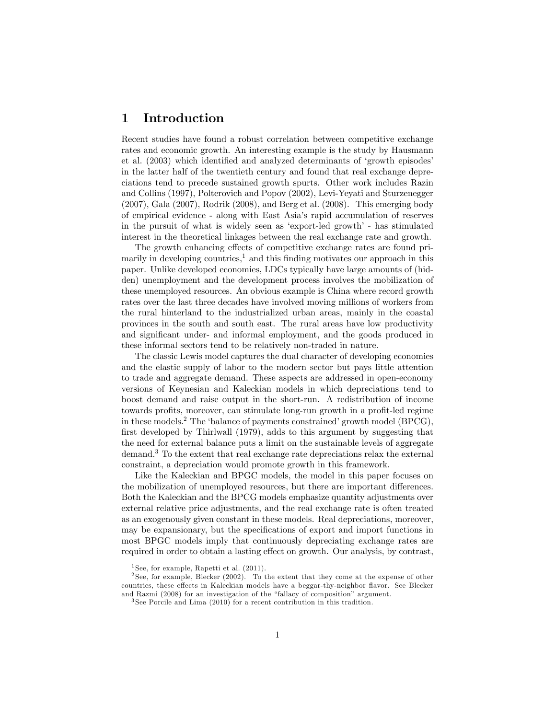# 1 Introduction

Recent studies have found a robust correlation between competitive exchange rates and economic growth. An interesting example is the study by Hausmann et al. (2003) which identified and analyzed determinants of 'growth episodes' in the latter half of the twentieth century and found that real exchange depreciations tend to precede sustained growth spurts. Other work includes Razin and Collins (1997), Polterovich and Popov (2002), Levi-Yeyati and Sturzenegger (2007), Gala (2007), Rodrik (2008), and Berg et al. (2008). This emerging body of empirical evidence - along with East Asiaís rapid accumulation of reserves in the pursuit of what is widely seen as 'export-led growth' - has stimulated interest in the theoretical linkages between the real exchange rate and growth.

The growth enhancing effects of competitive exchange rates are found primarily in developing countries, $\frac{1}{2}$  and this finding motivates our approach in this paper. Unlike developed economies, LDCs typically have large amounts of (hidden) unemployment and the development process involves the mobilization of these unemployed resources. An obvious example is China where record growth rates over the last three decades have involved moving millions of workers from the rural hinterland to the industrialized urban areas, mainly in the coastal provinces in the south and south east. The rural areas have low productivity and significant under- and informal employment, and the goods produced in these informal sectors tend to be relatively non-traded in nature.

The classic Lewis model captures the dual character of developing economies and the elastic supply of labor to the modern sector but pays little attention to trade and aggregate demand. These aspects are addressed in open-economy versions of Keynesian and Kaleckian models in which depreciations tend to boost demand and raise output in the short-run. A redistribution of income towards profits, moreover, can stimulate long-run growth in a profit-led regime in these models.<sup>2</sup> The 'balance of payments constrained' growth model (BPCG), first developed by Thirlwall  $(1979)$ , adds to this argument by suggesting that the need for external balance puts a limit on the sustainable levels of aggregate demand.<sup>3</sup> To the extent that real exchange rate depreciations relax the external constraint, a depreciation would promote growth in this framework.

Like the Kaleckian and BPGC models, the model in this paper focuses on the mobilization of unemployed resources, but there are important differences. Both the Kaleckian and the BPCG models emphasize quantity adjustments over external relative price adjustments, and the real exchange rate is often treated as an exogenously given constant in these models. Real depreciations, moreover, may be expansionary, but the specifications of export and import functions in most BPGC models imply that continuously depreciating exchange rates are required in order to obtain a lasting effect on growth. Our analysis, by contrast,

<sup>&</sup>lt;sup>1</sup> See, for example, Rapetti et al.  $(2011)$ .

<sup>&</sup>lt;sup>2</sup> See, for example, Blecker (2002). To the extent that they come at the expense of other countries, these effects in Kaleckian models have a beggar-thy-neighbor flavor. See Blecker and Razmi (2008) for an investigation of the "fallacy of composition" argument.

<sup>&</sup>lt;sup>3</sup>See Porcile and Lima (2010) for a recent contribution in this tradition.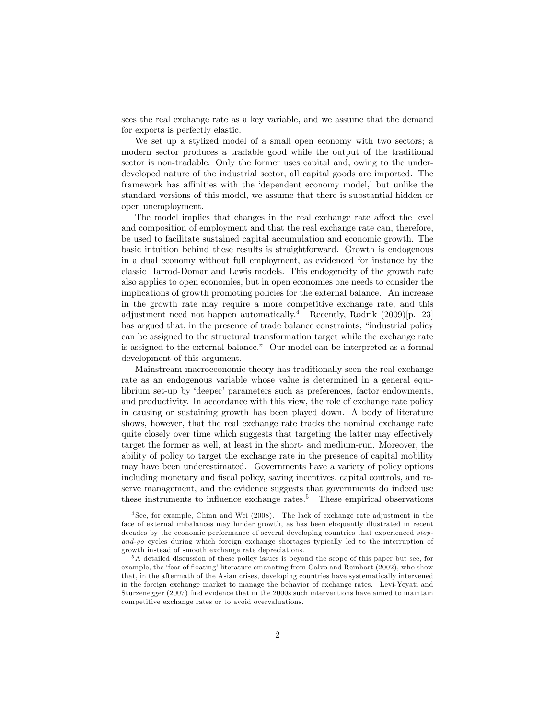sees the real exchange rate as a key variable, and we assume that the demand for exports is perfectly elastic.

We set up a stylized model of a small open economy with two sectors; a modern sector produces a tradable good while the output of the traditional sector is non-tradable. Only the former uses capital and, owing to the underdeveloped nature of the industrial sector, all capital goods are imported. The framework has affinities with the 'dependent economy model,' but unlike the standard versions of this model, we assume that there is substantial hidden or open unemployment.

The model implies that changes in the real exchange rate affect the level and composition of employment and that the real exchange rate can, therefore, be used to facilitate sustained capital accumulation and economic growth. The basic intuition behind these results is straightforward. Growth is endogenous in a dual economy without full employment, as evidenced for instance by the classic Harrod-Domar and Lewis models. This endogeneity of the growth rate also applies to open economies, but in open economies one needs to consider the implications of growth promoting policies for the external balance. An increase in the growth rate may require a more competitive exchange rate, and this adjustment need not happen automatically.<sup>4</sup> Recently, Rodrik  $(2009)[p. 23]$ has argued that, in the presence of trade balance constraints, "industrial policy can be assigned to the structural transformation target while the exchange rate is assigned to the external balance." Our model can be interpreted as a formal development of this argument.

Mainstream macroeconomic theory has traditionally seen the real exchange rate as an endogenous variable whose value is determined in a general equilibrium set-up by 'deeper' parameters such as preferences, factor endowments, and productivity. In accordance with this view, the role of exchange rate policy in causing or sustaining growth has been played down. A body of literature shows, however, that the real exchange rate tracks the nominal exchange rate quite closely over time which suggests that targeting the latter may effectively target the former as well, at least in the short- and medium-run. Moreover, the ability of policy to target the exchange rate in the presence of capital mobility may have been underestimated. Governments have a variety of policy options including monetary and fiscal policy, saving incentives, capital controls, and reserve management, and the evidence suggests that governments do indeed use these instruments to influence exchange rates.<sup>5</sup> These empirical observations

<sup>4</sup> See, for example, Chinn and Wei (2008). The lack of exchange rate adjustment in the face of external imbalances may hinder growth, as has been eloquently illustrated in recent decades by the economic performance of several developing countries that experienced stopand-go cycles during which foreign exchange shortages typically led to the interruption of growth instead of smooth exchange rate depreciations.

<sup>5</sup>A detailed discussion of these policy issues is beyond the scope of this paper but see, for example, the 'fear of floating' literature emanating from Calvo and Reinhart (2002), who show that, in the aftermath of the Asian crises, developing countries have systematically intervened in the foreign exchange market to manage the behavior of exchange rates. Levi-Yeyati and Sturzenegger (2007) find evidence that in the 2000s such interventions have aimed to maintain competitive exchange rates or to avoid overvaluations.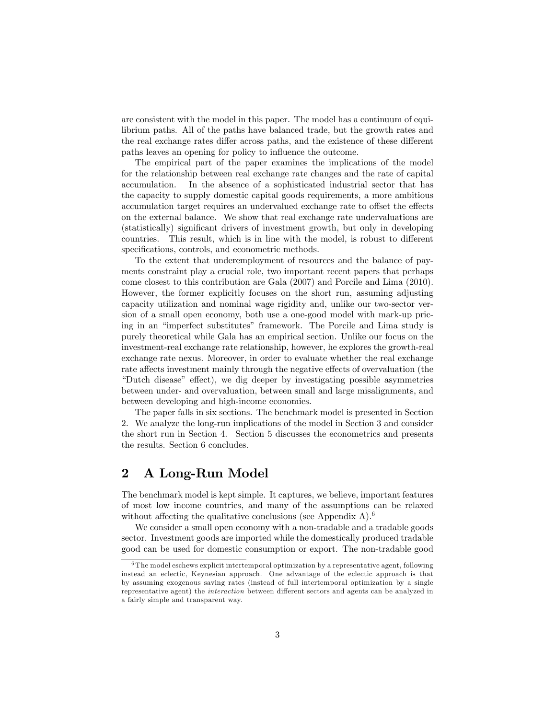are consistent with the model in this paper. The model has a continuum of equilibrium paths. All of the paths have balanced trade, but the growth rates and the real exchange rates differ across paths, and the existence of these different paths leaves an opening for policy to influence the outcome.

The empirical part of the paper examines the implications of the model for the relationship between real exchange rate changes and the rate of capital accumulation. In the absence of a sophisticated industrial sector that has the capacity to supply domestic capital goods requirements, a more ambitious accumulation target requires an undervalued exchange rate to offset the effects on the external balance. We show that real exchange rate undervaluations are (statistically) significant drivers of investment growth, but only in developing countries. This result, which is in line with the model, is robust to different specifications, controls, and econometric methods.

To the extent that underemployment of resources and the balance of payments constraint play a crucial role, two important recent papers that perhaps come closest to this contribution are Gala (2007) and Porcile and Lima (2010). However, the former explicitly focuses on the short run, assuming adjusting capacity utilization and nominal wage rigidity and, unlike our two-sector version of a small open economy, both use a one-good model with mark-up pricing in an "imperfect substitutes" framework. The Porcile and Lima study is purely theoretical while Gala has an empirical section. Unlike our focus on the investment-real exchange rate relationship, however, he explores the growth-real exchange rate nexus. Moreover, in order to evaluate whether the real exchange rate affects investment mainly through the negative effects of overvaluation (the "Dutch disease" effect), we dig deeper by investigating possible asymmetries between under- and overvaluation, between small and large misalignments, and between developing and high-income economies.

The paper falls in six sections. The benchmark model is presented in Section 2. We analyze the long-run implications of the model in Section 3 and consider the short run in Section 4. Section 5 discusses the econometrics and presents the results. Section 6 concludes.

# 2 A Long-Run Model

The benchmark model is kept simple. It captures, we believe, important features of most low income countries, and many of the assumptions can be relaxed without affecting the qualitative conclusions (see Appendix A).<sup>6</sup>

We consider a small open economy with a non-tradable and a tradable goods sector. Investment goods are imported while the domestically produced tradable good can be used for domestic consumption or export. The non-tradable good

 $6$ The model eschews explicit intertemporal optimization by a representative agent, following instead an eclectic, Keynesian approach. One advantage of the eclectic approach is that by assuming exogenous saving rates (instead of full intertemporal optimization by a single representative agent) the *interaction* between different sectors and agents can be analyzed in a fairly simple and transparent way.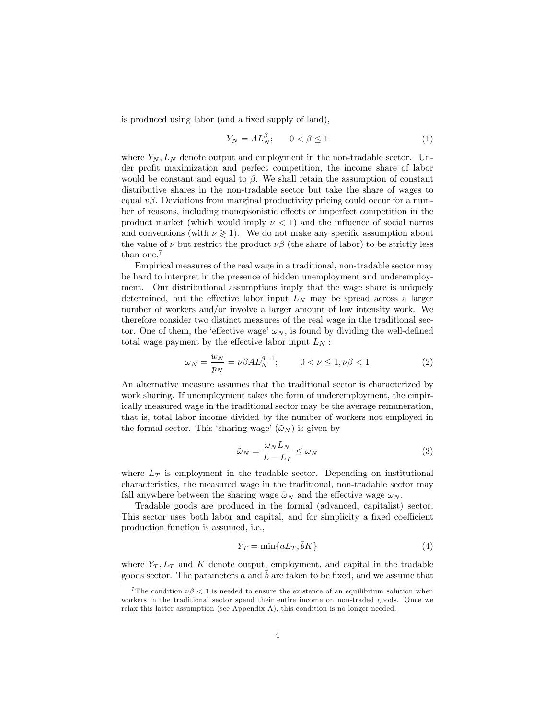is produced using labor (and a fixed supply of land),

$$
Y_N = AL_N^{\beta}; \qquad 0 < \beta \le 1 \tag{1}
$$

where  $Y_N$ ,  $L_N$  denote output and employment in the non-tradable sector. Under profit maximization and perfect competition, the income share of labor would be constant and equal to  $\beta$ . We shall retain the assumption of constant distributive shares in the non-tradable sector but take the share of wages to equal  $v\beta$ . Deviations from marginal productivity pricing could occur for a number of reasons, including monopsonistic effects or imperfect competition in the product market (which would imply  $\nu < 1$ ) and the influence of social norms and conventions (with  $\nu \geq 1$ ). We do not make any specific assumption about the value of  $\nu$  but restrict the product  $\nu\beta$  (the share of labor) to be strictly less than one.<sup>7</sup>

Empirical measures of the real wage in a traditional, non-tradable sector may be hard to interpret in the presence of hidden unemployment and underemployment. Our distributional assumptions imply that the wage share is uniquely determined, but the effective labor input  $L<sub>N</sub>$  may be spread across a larger number of workers and/or involve a larger amount of low intensity work. We therefore consider two distinct measures of the real wage in the traditional sector. One of them, the 'effective wage'  $\omega_N$ , is found by dividing the well-defined total wage payment by the effective labor input  $L_N$ :

$$
\omega_N = \frac{w_N}{p_N} = \nu \beta A L_N^{\beta - 1}; \qquad 0 < \nu \le 1, \nu \beta < 1 \tag{2}
$$

An alternative measure assumes that the traditional sector is characterized by work sharing. If unemployment takes the form of underemployment, the empirically measured wage in the traditional sector may be the average remuneration, that is, total labor income divided by the number of workers not employed in the formal sector. This 'sharing wage'  $(\tilde{\omega}_N)$  is given by

$$
\tilde{\omega}_N = \frac{\omega_N L_N}{L - L_T} \le \omega_N \tag{3}
$$

where  $L_T$  is employment in the tradable sector. Depending on institutional characteristics, the measured wage in the traditional, non-tradable sector may fall anywhere between the sharing wage  $\tilde{\omega}_N$  and the effective wage  $\omega_N$ .

Tradable goods are produced in the formal (advanced, capitalist) sector. This sector uses both labor and capital, and for simplicity a fixed coefficient production function is assumed, i.e.,

$$
Y_T = \min\{aL_T, \bar{b}K\} \tag{4}
$$

where  $Y_T$ ,  $L_T$  and K denote output, employment, and capital in the tradable goods sector. The parameters  $a$  and  $b$  are taken to be fixed, and we assume that

<sup>&</sup>lt;sup>7</sup>The condition  $\nu\beta$  < 1 is needed to ensure the existence of an equilibrium solution when workers in the traditional sector spend their entire income on non-traded goods. Once we relax this latter assumption (see Appendix A), this condition is no longer needed.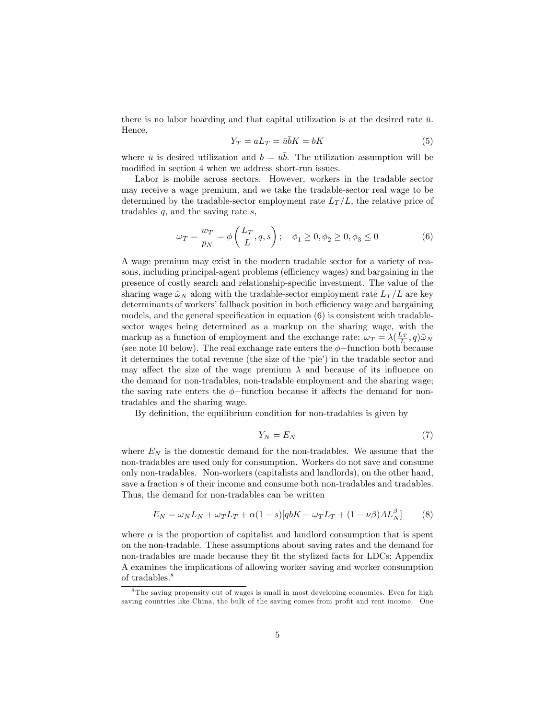there is no labor hoarding and that capital utilization is at the desired rate  $\bar{u}$ . Hence,

$$
Y_T = aL_T = \bar{u}\bar{b}K = bK\tag{5}
$$

where  $\bar{u}$  is desired utilization and  $b = u\bar{b}$ . The utilization assumption will be modified in section 4 when we address short-run issues.

Labor is mobile across sectors. However, workers in the tradable sector may receive a wage premium, and we take the tradable-sector real wage to be determined by the tradable-sector employment rate  $L<sub>T</sub>/L$ , the relative price of tradables  $q$ , and the saving rate  $s$ ,

$$
\omega_T = \frac{w_T}{p_N} = \phi\left(\frac{L_T}{L}, q, s\right); \quad \phi_1 \ge 0, \phi_2 \ge 0, \phi_3 \le 0
$$
 (6)

A wage premium may exist in the modern tradable sector for a variety of reasons, including principal-agent problems (efficiency wages) and bargaining in the presence of costly search and relationship-specific investment. The value of the sharing wage  $\tilde{\omega}_N$  along with the tradable-sector employment rate  $L_T/L$  are key determinants of workers' fallback position in both efficiency wage and bargaining models, and the general specification in equation  $(6)$  is consistent with tradablesector wages being determined as a markup on the sharing wage, with the markup as a function of employment and the exchange rate:  $\omega_T = \lambda(\frac{L_T}{L}, q)\tilde{\omega}_N$ (see note 10 below). The real exchange rate enters the  $\phi$ -function both because it determines the total revenue (the size of the 'pie') in the tradable sector and may affect the size of the wage premium  $\lambda$  and because of its influence on the demand for non-tradables, non-tradable employment and the sharing wage; the saving rate enters the  $\phi$ -function because it affects the demand for nontradables and the sharing wage.

By definition, the equilibrium condition for non-tradables is given by

$$
Y_N = E_N \tag{7}
$$

where  $E_N$  is the domestic demand for the non-tradables. We assume that the non-tradables are used only for consumption. Workers do not save and consume only non-tradables. Non-workers (capitalists and landlords), on the other hand, save a fraction s of their income and consume both non-tradables and tradables. Thus, the demand for non-tradables can be written

$$
E_N = \omega_N L_N + \omega_T L_T + \alpha (1 - s) [q b K - \omega_T L_T + (1 - \nu \beta) A L_N^{\beta}] \tag{8}
$$

where  $\alpha$  is the proportion of capitalist and landlord consumption that is spent on the non-tradable. These assumptions about saving rates and the demand for non-tradables are made because they fit the stylized facts for LDCs; Appendix A examines the implications of allowing worker saving and worker consumption of tradables.<sup>8</sup>

<sup>&</sup>lt;sup>8</sup>The saving propensity out of wages is small in most developing economies. Even for high saving countries like China, the bulk of the saving comes from profit and rent income. One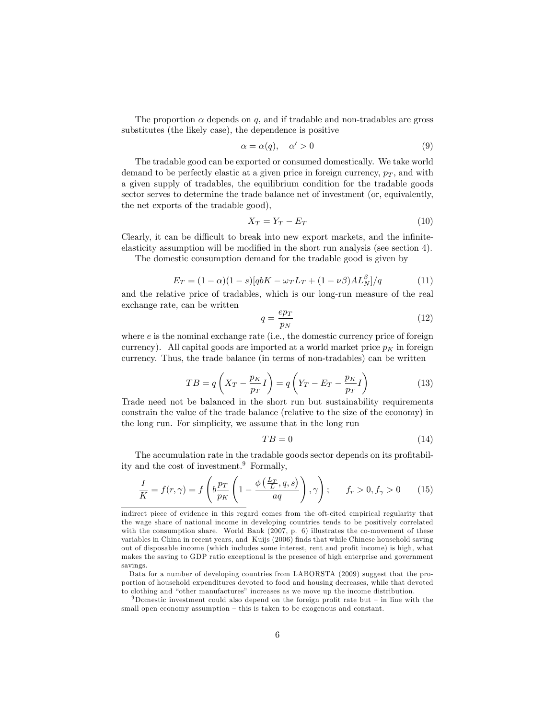The proportion  $\alpha$  depends on q, and if tradable and non-tradables are gross substitutes (the likely case), the dependence is positive

$$
\alpha = \alpha(q), \quad \alpha' > 0 \tag{9}
$$

The tradable good can be exported or consumed domestically. We take world demand to be perfectly elastic at a given price in foreign currency,  $p_T$ , and with a given supply of tradables, the equilibrium condition for the tradable goods sector serves to determine the trade balance net of investment (or, equivalently, the net exports of the tradable good),

$$
X_T = Y_T - E_T \tag{10}
$$

Clearly, it can be difficult to break into new export markets, and the infiniteelasticity assumption will be modified in the short run analysis (see section 4).

The domestic consumption demand for the tradable good is given by

$$
E_T = (1 - \alpha)(1 - s)[q bK - \omega_T L_T + (1 - \nu \beta)AL_N^{\beta}] / q \tag{11}
$$

and the relative price of tradables, which is our long-run measure of the real exchange rate, can be written

$$
q = \frac{ep_T}{p_N} \tag{12}
$$

where  $e$  is the nominal exchange rate (i.e., the domestic currency price of foreign currency). All capital goods are imported at a world market price  $p<sub>K</sub>$  in foreign currency. Thus, the trade balance (in terms of non-tradables) can be written

$$
TB = q\left(X_T - \frac{p_K}{p_T}I\right) = q\left(Y_T - E_T - \frac{p_K}{p_T}I\right)
$$
\n(13)

Trade need not be balanced in the short run but sustainability requirements constrain the value of the trade balance (relative to the size of the economy) in the long run. For simplicity, we assume that in the long run

$$
TB = 0 \tag{14}
$$

The accumulation rate in the tradable goods sector depends on its profitability and the cost of investment. $9$  Formally,

$$
\frac{I}{K} = f(r,\gamma) = f\left(b\frac{p_T}{p_K}\left(1 - \frac{\phi\left(\frac{L_T}{L}, q, s\right)}{aq}\right), \gamma\right); \qquad f_r > 0, f_\gamma > 0 \tag{15}
$$

indirect piece of evidence in this regard comes from the oft-cited empirical regularity that the wage share of national income in developing countries tends to be positively correlated with the consumption share. World Bank (2007, p. 6) illustrates the co-movement of these variables in China in recent years, and Kuijs (2006) finds that while Chinese household saving out of disposable income (which includes some interest, rent and profit income) is high, what makes the saving to GDP ratio exceptional is the presence of high enterprise and government savings.

Data for a number of developing countries from LABORSTA (2009) suggest that the proportion of household expenditures devoted to food and housing decreases, while that devoted to clothing and "other manufactures" increases as we move up the income distribution.

<sup>&</sup>lt;sup>9</sup>Domestic investment could also depend on the foreign profit rate but  $-$  in line with the small open economy assumption – this is taken to be exogenous and constant.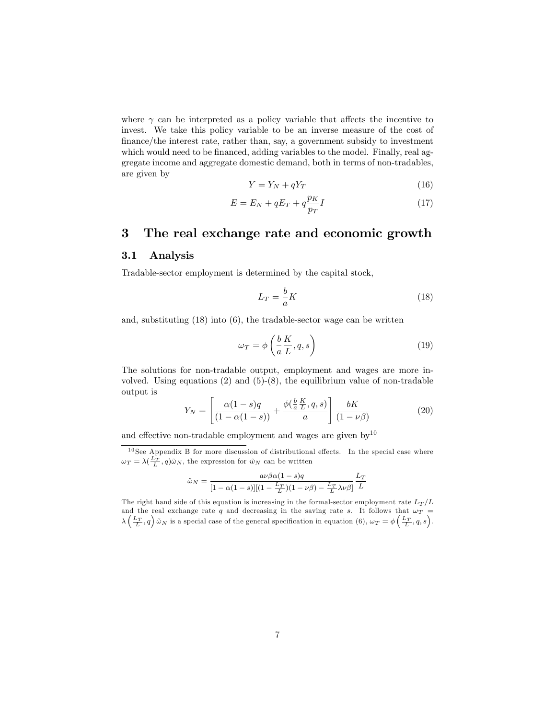where  $\gamma$  can be interpreted as a policy variable that affects the incentive to invest. We take this policy variable to be an inverse measure of the cost of Önance/the interest rate, rather than, say, a government subsidy to investment which would need to be financed, adding variables to the model. Finally, real aggregate income and aggregate domestic demand, both in terms of non-tradables, are given by

$$
Y = Y_N + qY_T \tag{16}
$$

$$
E = E_N + qE_T + q\frac{p_K}{p_T}I\tag{17}
$$

### 3 The real exchange rate and economic growth

#### 3.1 Analysis

Tradable-sector employment is determined by the capital stock,

$$
L_T = -\frac{b}{a}K\tag{18}
$$

and, substituting (18) into (6), the tradable-sector wage can be written

$$
\omega_T = \phi \left( \frac{b}{a} \frac{K}{L}, q, s \right) \tag{19}
$$

The solutions for non-tradable output, employment and wages are more involved. Using equations  $(2)$  and  $(5)-(8)$ , the equilibrium value of non-tradable output is

$$
Y_N = \left[ \frac{\alpha (1 - s)q}{(1 - \alpha (1 - s))} + \frac{\phi(\frac{b}{a} \frac{K}{L}, q, s)}{a} \right] \frac{bK}{(1 - \nu \beta)} \tag{20}
$$

and effective non-tradable employment and wages are given by<sup>10</sup>

 $10$  See Appendix B for more discussion of distributional effects. In the special case where  $\omega_T = \lambda(\frac{L_T}{L}, q)\tilde{\omega}_N$ , the expression for  $\tilde{w}_N$  can be written

$$
\tilde{\omega}_N = \frac{a\nu\beta\alpha(1-s)q}{[1-\alpha(1-s)][(1-\frac{L_T}{L})(1-\nu\beta)-\frac{L_T}{L}\lambda\nu\beta]}\frac{L_T}{L}
$$

The right hand side of this equation is increasing in the formal-sector employment rate  $L_T/L$ and the real exchange rate q and decreasing in the saving rate s. It follows that  $\omega_T$  =  $\lambda\left(\frac{L_T}{L}, q\right)$   $\tilde{\omega}_N$  is a special case of the general specification in equation (6),  $\omega_T = \phi\left(\frac{L_T}{L}, q, s\right)$ .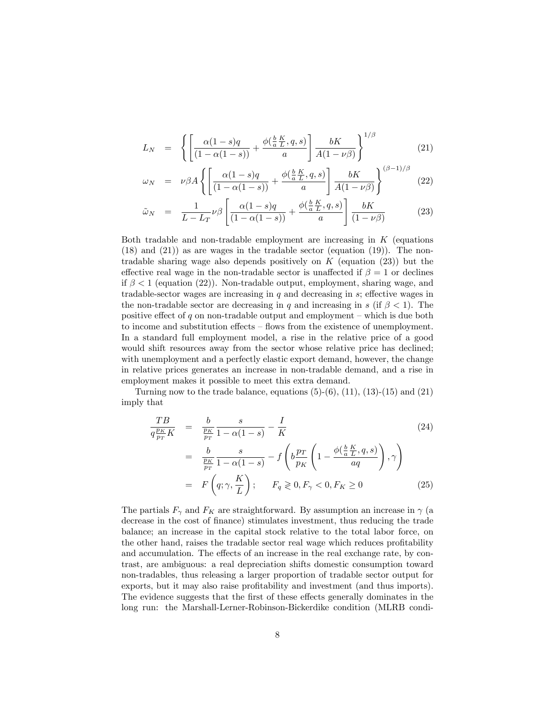$$
L_N = \left\{ \left[ \frac{\alpha (1 - s)q}{(1 - \alpha (1 - s))} + \frac{\phi(\frac{b}{a} \frac{K}{L}, q, s)}{a} \right] \frac{bK}{A(1 - \nu \beta)} \right\}^{1/\beta}
$$
(21)

$$
\omega_N = \nu \beta A \left\{ \left[ \frac{\alpha (1 - s)q}{(1 - \alpha (1 - s))} + \frac{\phi(\frac{b}{a} \frac{K}{L}, q, s)}{a} \right] \frac{bK}{A(1 - \nu \beta)} \right\}^{(\beta - 1)/\beta} (22)
$$

$$
\tilde{\omega}_N = \frac{1}{L - L_T} \nu \beta \left[ \frac{\alpha (1 - s)q}{(1 - \alpha (1 - s))} + \frac{\phi(\frac{b}{a} \frac{K}{L}, q, s)}{a} \right] \frac{bK}{(1 - \nu \beta)} \tag{23}
$$

Both tradable and non-tradable employment are increasing in  $K$  (equations  $(18)$  and  $(21)$ ) as are wages in the tradable sector (equation  $(19)$ ). The nontradable sharing wage also depends positively on K (equation  $(23)$ ) but the effective real wage in the non-tradable sector is unaffected if  $\beta = 1$  or declines if  $\beta$  < 1 (equation (22)). Non-tradable output, employment, sharing wage, and tradable-sector wages are increasing in  $q$  and decreasing in  $s$ ; effective wages in the non-tradable sector are decreasing in q and increasing in s (if  $\beta$  < 1). The positive effect of q on non-tradable output and employment  $-$  which is due both to income and substitution effects  $-$  flows from the existence of unemployment. In a standard full employment model, a rise in the relative price of a good would shift resources away from the sector whose relative price has declined; with unemployment and a perfectly elastic export demand, however, the change in relative prices generates an increase in non-tradable demand, and a rise in employment makes it possible to meet this extra demand.

Turning now to the trade balance, equations  $(5)-(6)$ ,  $(11)$ ,  $(13)-(15)$  and  $(21)$ imply that

$$
\frac{TB}{q\frac{p_K}{p_T}K} = \frac{b}{\frac{p_K}{p_T}} \frac{s}{1 - \alpha(1 - s)} - \frac{I}{K}
$$
\n
$$
= \frac{b}{\frac{p_K}{p_T}} \frac{s}{1 - \alpha(1 - s)} - f\left(b\frac{p_T}{p_K}\left(1 - \frac{\phi(\frac{b}{a}\frac{K}{L}, q, s)}{aq}\right), \gamma\right)
$$
\n
$$
= F\left(q; \gamma, \frac{K}{L}\right); \quad F_q \geq 0, F_\gamma < 0, F_K \geq 0 \tag{25}
$$

The partials  $F_{\gamma}$  and  $F_K$  are straightforward. By assumption an increase in  $\gamma$  (a decrease in the cost of finance) stimulates investment, thus reducing the trade balance; an increase in the capital stock relative to the total labor force, on the other hand, raises the tradable sector real wage which reduces profitability and accumulation. The effects of an increase in the real exchange rate, by contrast, are ambiguous: a real depreciation shifts domestic consumption toward non-tradables, thus releasing a larger proportion of tradable sector output for exports, but it may also raise profitability and investment (and thus imports). The evidence suggests that the first of these effects generally dominates in the long run: the Marshall-Lerner-Robinson-Bickerdike condition (MLRB condi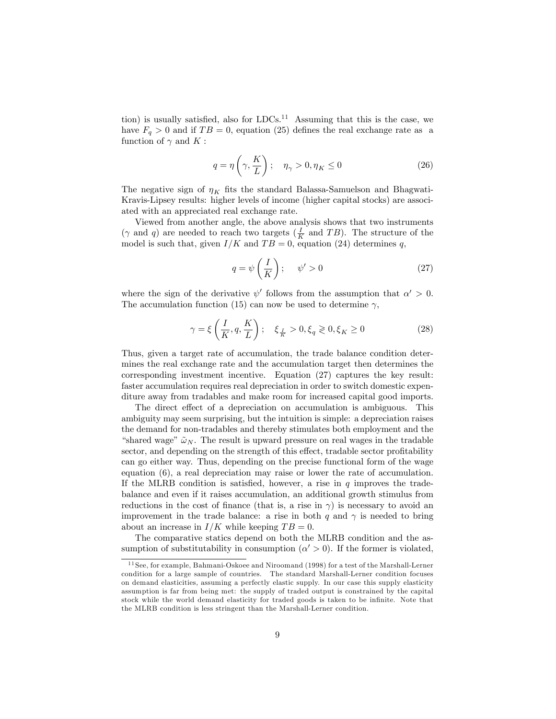tion) is usually satisfied, also for  $LDCs$ <sup>11</sup> Assuming that this is the case, we have  $F_q > 0$  and if  $TB = 0$ , equation (25) defines the real exchange rate as a function of  $\gamma$  and K :

$$
q = \eta\left(\gamma, \frac{K}{L}\right); \quad \eta_{\gamma} > 0, \eta_{K} \le 0 \tag{26}
$$

The negative sign of  $\eta_K$  fits the standard Balassa-Samuelson and Bhagwati-Kravis-Lipsey results: higher levels of income (higher capital stocks) are associated with an appreciated real exchange rate.

Viewed from another angle, the above analysis shows that two instruments  $(\gamma \text{ and } q)$  are needed to reach two targets  $(\frac{I}{K} \text{ and } TB)$ . The structure of the model is such that, given  $I/K$  and  $TB = 0$ , equation (24) determines q,

$$
q = \psi\left(\frac{I}{K}\right); \quad \psi' > 0 \tag{27}
$$

where the sign of the derivative  $\psi'$  follows from the assumption that  $\alpha' > 0$ . The accumulation function (15) can now be used to determine  $\gamma$ ,

$$
\gamma = \xi \left( \frac{I}{K}, q, \frac{K}{L} \right); \quad \xi_{\frac{I}{K}} > 0, \xi_{q} \geq 0, \xi_{K} \geq 0 \tag{28}
$$

Thus, given a target rate of accumulation, the trade balance condition determines the real exchange rate and the accumulation target then determines the corresponding investment incentive. Equation (27) captures the key result: faster accumulation requires real depreciation in order to switch domestic expenditure away from tradables and make room for increased capital good imports.

The direct effect of a depreciation on accumulation is ambiguous. This ambiguity may seem surprising, but the intuition is simple: a depreciation raises the demand for non-tradables and thereby stimulates both employment and the "shared wage"  $\tilde{\omega}_N$ . The result is upward pressure on real wages in the tradable sector, and depending on the strength of this effect, tradable sector profitability can go either way. Thus, depending on the precise functional form of the wage equation (6), a real depreciation may raise or lower the rate of accumulation. If the MLRB condition is satisfied, however, a rise in  $q$  improves the tradebalance and even if it raises accumulation, an additional growth stimulus from reductions in the cost of finance (that is, a rise in  $\gamma$ ) is necessary to avoid an improvement in the trade balance: a rise in both q and  $\gamma$  is needed to bring about an increase in  $I/K$  while keeping  $TB = 0$ .

The comparative statics depend on both the MLRB condition and the assumption of substitutability in consumption  $(\alpha' > 0)$ . If the former is violated,

<sup>&</sup>lt;sup>11</sup> See, for example, Bahmani-Oskoee and Niroomand (1998) for a test of the Marshall-Lerner condition for a large sample of countries. The standard Marshall-Lerner condition focuses on demand elasticities, assuming a perfectly elastic supply. In our case this supply elasticity assumption is far from being met: the supply of traded output is constrained by the capital stock while the world demand elasticity for traded goods is taken to be infinite. Note that the MLRB condition is less stringent than the Marshall-Lerner condition.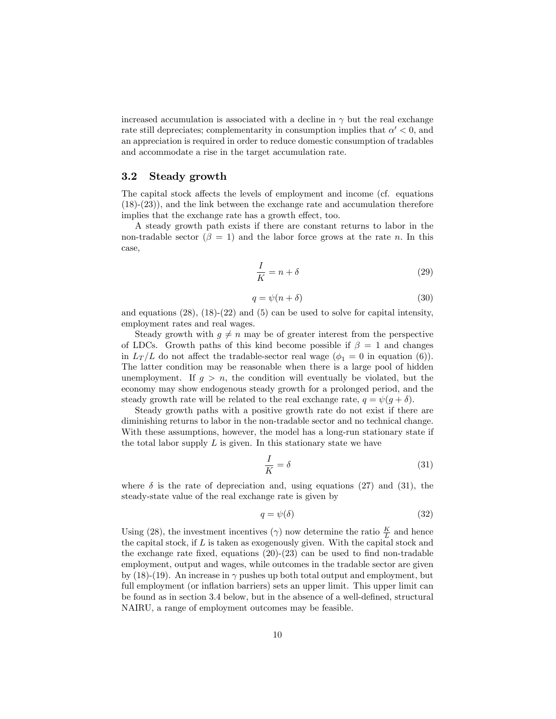increased accumulation is associated with a decline in  $\gamma$  but the real exchange rate still depreciates; complementarity in consumption implies that  $\alpha' < 0$ , and an appreciation is required in order to reduce domestic consumption of tradables and accommodate a rise in the target accumulation rate.

#### 3.2 Steady growth

The capital stock affects the levels of employment and income (cf. equations (18)-(23)), and the link between the exchange rate and accumulation therefore implies that the exchange rate has a growth effect, too.

A steady growth path exists if there are constant returns to labor in the non-tradable sector  $(\beta = 1)$  and the labor force grows at the rate n. In this case,

$$
\frac{I}{K} = n + \delta \tag{29}
$$

$$
q = \psi(n+\delta) \tag{30}
$$

and equations  $(28)$ ,  $(18)-(22)$  and  $(5)$  can be used to solve for capital intensity, employment rates and real wages.

Steady growth with  $g \neq n$  may be of greater interest from the perspective of LDCs. Growth paths of this kind become possible if  $\beta = 1$  and changes in  $L_T/L$  do not affect the tradable-sector real wage ( $\phi_1 = 0$  in equation (6)). The latter condition may be reasonable when there is a large pool of hidden unemployment. If  $g > n$ , the condition will eventually be violated, but the economy may show endogenous steady growth for a prolonged period, and the steady growth rate will be related to the real exchange rate,  $q = \psi(g + \delta)$ .

Steady growth paths with a positive growth rate do not exist if there are diminishing returns to labor in the non-tradable sector and no technical change. With these assumptions, however, the model has a long-run stationary state if the total labor supply  $L$  is given. In this stationary state we have

$$
\frac{I}{K} = \delta \tag{31}
$$

where  $\delta$  is the rate of depreciation and, using equations (27) and (31), the steady-state value of the real exchange rate is given by

$$
q = \psi(\delta) \tag{32}
$$

Using (28), the investment incentives ( $\gamma$ ) now determine the ratio  $\frac{K}{L}$  and hence the capital stock, if  $L$  is taken as exogenously given. With the capital stock and the exchange rate fixed, equations  $(20)-(23)$  can be used to find non-tradable employment, output and wages, while outcomes in the tradable sector are given by  $(18)-(19)$ . An increase in  $\gamma$  pushes up both total output and employment, but full employment (or inflation barriers) sets an upper limit. This upper limit can be found as in section 3.4 below, but in the absence of a well-defined, structural NAIRU, a range of employment outcomes may be feasible.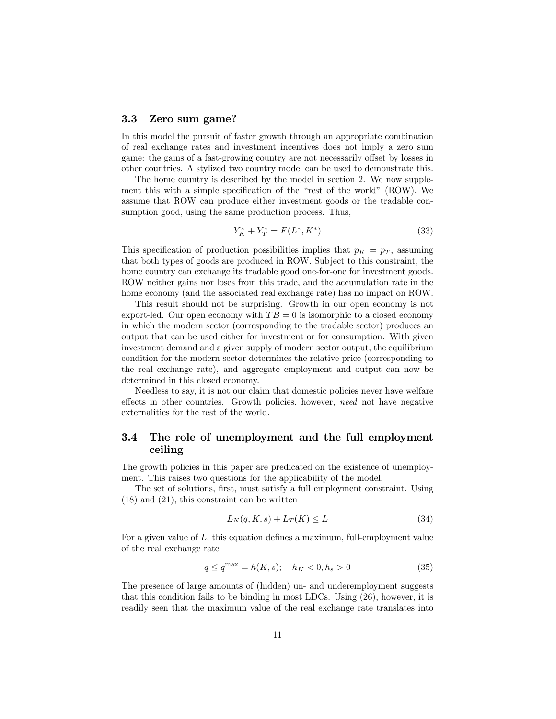#### 3.3 Zero sum game?

In this model the pursuit of faster growth through an appropriate combination of real exchange rates and investment incentives does not imply a zero sum game: the gains of a fast-growing country are not necessarily offset by losses in other countries. A stylized two country model can be used to demonstrate this.

The home country is described by the model in section 2. We now supplement this with a simple specification of the "rest of the world" (ROW). We assume that ROW can produce either investment goods or the tradable consumption good, using the same production process. Thus,

$$
Y_K^* + Y_T^* = F(L^*, K^*)
$$
\n(33)

This specification of production possibilities implies that  $p<sub>K</sub> = p<sub>T</sub>$ , assuming that both types of goods are produced in ROW. Subject to this constraint, the home country can exchange its tradable good one-for-one for investment goods. ROW neither gains nor loses from this trade, and the accumulation rate in the home economy (and the associated real exchange rate) has no impact on ROW.

This result should not be surprising. Growth in our open economy is not export-led. Our open economy with  $TB = 0$  is isomorphic to a closed economy in which the modern sector (corresponding to the tradable sector) produces an output that can be used either for investment or for consumption. With given investment demand and a given supply of modern sector output, the equilibrium condition for the modern sector determines the relative price (corresponding to the real exchange rate), and aggregate employment and output can now be determined in this closed economy.

Needless to say, it is not our claim that domestic policies never have welfare effects in other countries. Growth policies, however, need not have negative externalities for the rest of the world.

#### 3.4 The role of unemployment and the full employment ceiling

The growth policies in this paper are predicated on the existence of unemployment. This raises two questions for the applicability of the model.

The set of solutions, first, must satisfy a full employment constraint. Using (18) and (21), this constraint can be written

$$
L_N(q, K, s) + L_T(K) \le L \tag{34}
$$

For a given value of  $L$ , this equation defines a maximum, full-employment value of the real exchange rate

$$
q \le q^{\max} = h(K, s); \quad h_K < 0, h_s > 0 \tag{35}
$$

The presence of large amounts of (hidden) un- and underemployment suggests that this condition fails to be binding in most LDCs. Using (26), however, it is readily seen that the maximum value of the real exchange rate translates into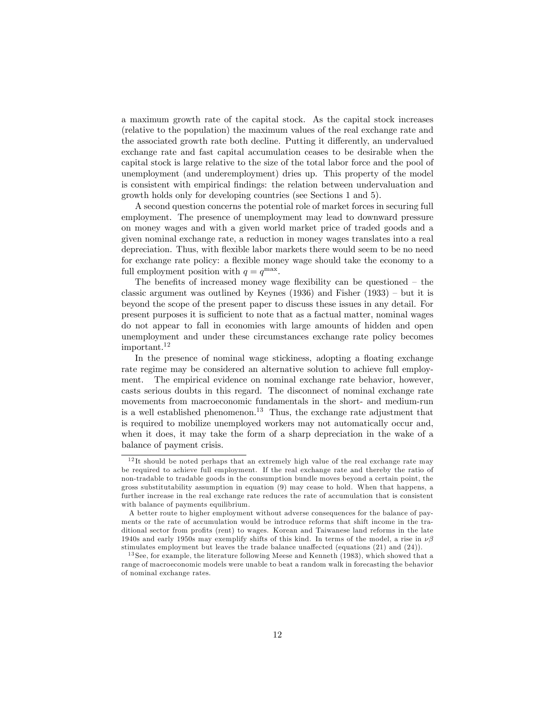a maximum growth rate of the capital stock. As the capital stock increases (relative to the population) the maximum values of the real exchange rate and the associated growth rate both decline. Putting it differently, an undervalued exchange rate and fast capital accumulation ceases to be desirable when the capital stock is large relative to the size of the total labor force and the pool of unemployment (and underemployment) dries up. This property of the model is consistent with empirical findings: the relation between undervaluation and growth holds only for developing countries (see Sections 1 and 5).

A second question concerns the potential role of market forces in securing full employment. The presence of unemployment may lead to downward pressure on money wages and with a given world market price of traded goods and a given nominal exchange rate, a reduction in money wages translates into a real depreciation. Thus, with áexible labor markets there would seem to be no need for exchange rate policy: a flexible money wage should take the economy to a full employment position with  $q = q^{\max}$ .

The benefits of increased money wage flexibility can be questioned  $-$  the classic argument was outlined by Keynes  $(1936)$  and Fisher  $(1933)$  – but it is beyond the scope of the present paper to discuss these issues in any detail. For present purposes it is sufficient to note that as a factual matter, nominal wages do not appear to fall in economies with large amounts of hidden and open unemployment and under these circumstances exchange rate policy becomes important.<sup>12</sup>

In the presence of nominal wage stickiness, adopting a floating exchange rate regime may be considered an alternative solution to achieve full employment. The empirical evidence on nominal exchange rate behavior, however, casts serious doubts in this regard. The disconnect of nominal exchange rate movements from macroeconomic fundamentals in the short- and medium-run is a well established phenomenon.<sup>13</sup> Thus, the exchange rate adjustment that is required to mobilize unemployed workers may not automatically occur and, when it does, it may take the form of a sharp depreciation in the wake of a balance of payment crisis.

 $12$ It should be noted perhaps that an extremely high value of the real exchange rate may be required to achieve full employment. If the real exchange rate and thereby the ratio of non-tradable to tradable goods in the consumption bundle moves beyond a certain point, the gross substitutability assumption in equation (9) may cease to hold. When that happens, a further increase in the real exchange rate reduces the rate of accumulation that is consistent with balance of payments equilibrium.

A better route to higher employment without adverse consequences for the balance of payments or the rate of accumulation would be introduce reforms that shift income in the traditional sector from profits (rent) to wages. Korean and Taiwanese land reforms in the late 1940s and early 1950s may exemplify shifts of this kind. In terms of the model, a rise in  $\nu\beta$ stimulates employment but leaves the trade balance unaffected (equations  $(21)$  and  $(24)$ ).

<sup>&</sup>lt;sup>13</sup> See, for example, the literature following Meese and Kenneth (1983), which showed that a range of macroeconomic models were unable to beat a random walk in forecasting the behavior of nominal exchange rates.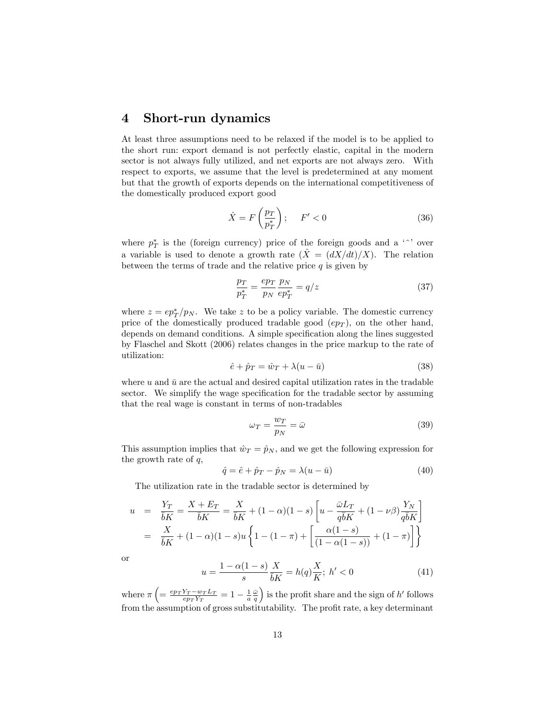### 4 Short-run dynamics

At least three assumptions need to be relaxed if the model is to be applied to the short run: export demand is not perfectly elastic, capital in the modern sector is not always fully utilized, and net exports are not always zero. With respect to exports, we assume that the level is predetermined at any moment but that the growth of exports depends on the international competitiveness of the domestically produced export good

$$
\hat{X} = F\left(\frac{p_T}{p_T^*}\right); \quad F' < 0 \tag{36}
$$

where  $p_T^*$  is the (foreign currency) price of the foreign goods and a '<sup> $\,\cdot\,$ </sup>' over a variable is used to denote a growth rate  $(X = (dX/dt)/X)$ . The relation between the terms of trade and the relative price  $q$  is given by

$$
\frac{p_T}{p_T^*} = \frac{ep_T}{p_N} \frac{p_N}{ep_T^*} = q/z \tag{37}
$$

where  $z = ep_T^*/p_N$ . We take z to be a policy variable. The domestic currency price of the domestically produced tradable good  $(ep<sub>T</sub>)$ , on the other hand, depends on demand conditions. A simple specification along the lines suggested by Flaschel and Skott (2006) relates changes in the price markup to the rate of utilization:

$$
\hat{e} + \hat{p}_T = \hat{w}_T + \lambda (u - \bar{u}) \tag{38}
$$

where u and  $\bar{u}$  are the actual and desired capital utilization rates in the tradable sector. We simplify the wage specification for the tradable sector by assuming that the real wage is constant in terms of non-tradables

$$
\omega_T = \frac{w_T}{p_N} = \bar{\omega} \tag{39}
$$

This assumption implies that  $\hat{w}_T = \hat{p}_N$ , and we get the following expression for the growth rate of  $q$ ,

$$
\hat{q} = \hat{e} + \hat{p}_T - \hat{p}_N = \lambda (u - \bar{u}) \tag{40}
$$

The utilization rate in the tradable sector is determined by

$$
u = \frac{Y_T}{\overline{b}K} = \frac{X + E_T}{\overline{b}K} = \frac{X}{\overline{b}K} + (1 - \alpha)(1 - s) \left[ u - \frac{\overline{\omega}L_T}{q\overline{b}K} + (1 - \nu\beta) \frac{Y_N}{q\overline{b}K} \right]
$$
  
= 
$$
\frac{X}{\overline{b}K} + (1 - \alpha)(1 - s)u \left\{ 1 - (1 - \pi) + \left[ \frac{\alpha(1 - s)}{(1 - \alpha(1 - s))} + (1 - \pi) \right] \right\}
$$

or

$$
u = \frac{1 - \alpha(1 - s)}{s} \frac{X}{\bar{b}K} = h(q) \frac{X}{K}; \ h' < 0 \tag{41}
$$

where  $\pi \left( = \frac{e p_T Y_T - w_T L_T}{e p_T Y_T} = 1 - \frac{1}{a} \frac{\bar{\omega}}{q} \right)$ ) is the profit share and the sign of  $h'$  follows from the assumption of gross substitutability. The profit rate, a key determinant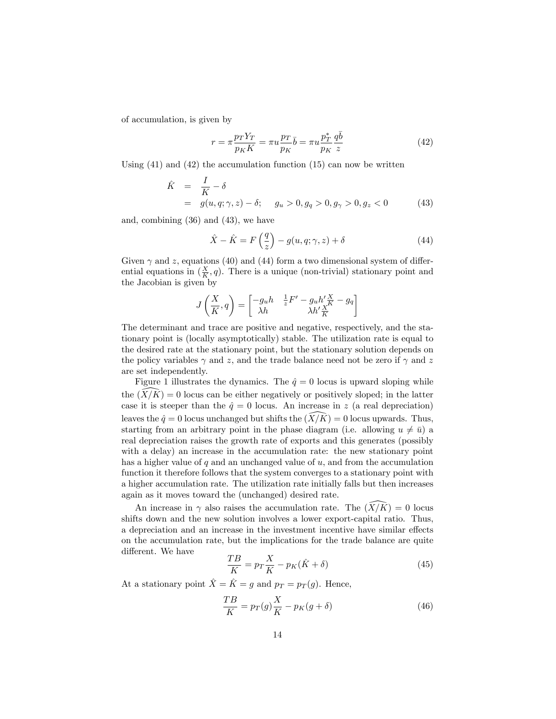of accumulation, is given by

$$
r = \pi \frac{p_T Y_T}{p_K K} = \pi u \frac{p_T}{p_K} \bar{b} = \pi u \frac{p_T^*}{p_K} \frac{q \bar{b}}{z}
$$
(42)

Using  $(41)$  and  $(42)$  the accumulation function  $(15)$  can now be written

$$
\hat{K} = \frac{I}{K} - \delta \n= g(u, q; \gamma, z) - \delta; \quad g_u > 0, g_q > 0, g_\gamma > 0, g_z < 0
$$
\n(43)

and, combining (36) and (43), we have

$$
\hat{X} - \hat{K} = F\left(\frac{q}{z}\right) - g(u, q; \gamma, z) + \delta \tag{44}
$$

Given  $\gamma$  and z, equations (40) and (44) form a two dimensional system of differential equations in  $(\frac{X}{K}, q)$ . There is a unique (non-trivial) stationary point and the Jacobian is given by

$$
J\left(\frac{X}{K},q\right) = \begin{bmatrix} -g_uh & \frac{1}{z}F' - g_uh'\frac{X}{K} - g_q \\ \lambda h & \lambda h'\frac{X}{K} \end{bmatrix}
$$

The determinant and trace are positive and negative, respectively, and the stationary point is (locally asymptotically) stable. The utilization rate is equal to the desired rate at the stationary point, but the stationary solution depends on the policy variables  $\gamma$  and z, and the trade balance need not be zero if  $\gamma$  and z are set independently.

Figure 1 illustrates the dynamics. The  $\hat{q} = 0$  locus is upward sloping while the  $(X/K) = 0$  locus can be either negatively or positively sloped; in the latter case it is steeper than the  $\hat{q} = 0$  locus. An increase in z (a real depreciation) leaves the  $\hat{q} = 0$  locus unchanged but shifts the  $(X/K) = 0$  locus upwards. Thus, starting from an arbitrary point in the phase diagram (i.e. allowing  $u \neq \bar{u}$ ) a real depreciation raises the growth rate of exports and this generates (possibly with a delay) an increase in the accumulation rate: the new stationary point has a higher value of  $q$  and an unchanged value of  $u$ , and from the accumulation function it therefore follows that the system converges to a stationary point with a higher accumulation rate. The utilization rate initially falls but then increases again as it moves toward the (unchanged) desired rate.

An increase in  $\gamma$  also raises the accumulation rate. The  $(X/K) = 0$  locus shifts down and the new solution involves a lower export-capital ratio. Thus, a depreciation and an increase in the investment incentive have similar effects on the accumulation rate, but the implications for the trade balance are quite different. We have

$$
\frac{TB}{K} = p_T \frac{X}{K} - p_K(\hat{K} + \delta)
$$
\n(45)

At a stationary point  $\hat{X} = \hat{K} = g$  and  $p_T = p_T (g)$ . Hence,

$$
\frac{TB}{K} = p_T(g)\frac{X}{K} - p_K(g+\delta)
$$
\n(46)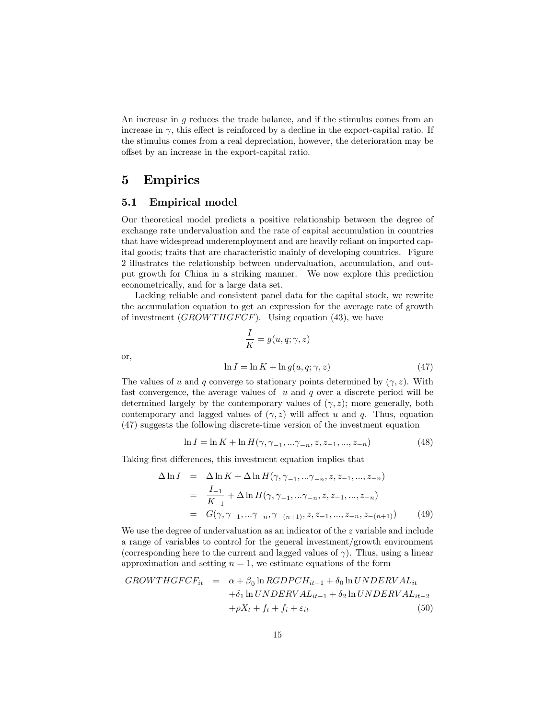An increase in g reduces the trade balance, and if the stimulus comes from an increase in  $\gamma$ , this effect is reinforced by a decline in the export-capital ratio. If the stimulus comes from a real depreciation, however, the deterioration may be offset by an increase in the export-capital ratio.

### 5 Empirics

#### 5.1 Empirical model

Our theoretical model predicts a positive relationship between the degree of exchange rate undervaluation and the rate of capital accumulation in countries that have widespread underemployment and are heavily reliant on imported capital goods; traits that are characteristic mainly of developing countries. Figure 2 illustrates the relationship between undervaluation, accumulation, and output growth for China in a striking manner. We now explore this prediction econometrically, and for a large data set.

Lacking reliable and consistent panel data for the capital stock, we rewrite the accumulation equation to get an expression for the average rate of growth of investment  $(GROWTHGFCF)$ . Using equation (43), we have

$$
\frac{I}{K} = g(u, q; \gamma, z)
$$
  

$$
\ln I = \ln K + \ln g(u, q; \gamma, z)
$$
 (47)

or,

The values of u and q converge to stationary points determined by 
$$
(\gamma, z)
$$
. With  
fast convergence, the average values of u and q over a discrete period will be  
determined largely by the contemporary values of  $(\gamma, z)$ ; more generally, both  
contemporary and lagged values of  $(\gamma, z)$  will affect u and q. Thus, equation  
(47) suggests the following discrete-time version of the investment equation

$$
\ln I = \ln K + \ln H(\gamma, \gamma_{-1}, \dots \gamma_{-n}, z, z_{-1}, \dots, z_{-n})
$$
\n(48)

Taking first differences, this investment equation implies that

$$
\Delta \ln I = \Delta \ln K + \Delta \ln H(\gamma, \gamma_{-1}, \dots \gamma_{-n}, z, z_{-1}, \dots, z_{-n})
$$
  
= 
$$
\frac{I_{-1}}{K_{-1}} + \Delta \ln H(\gamma, \gamma_{-1}, \dots \gamma_{-n}, z, z_{-1}, \dots, z_{-n})
$$
  
= 
$$
G(\gamma, \gamma_{-1}, \dots \gamma_{-n}, \gamma_{-(n+1)}, z, z_{-1}, \dots, z_{-n}, z_{-(n+1)})
$$
(49)

We use the degree of undervaluation as an indicator of the z variable and include a range of variables to control for the general investment/growth environment (corresponding here to the current and lagged values of  $\gamma$ ). Thus, using a linear approximation and setting  $n = 1$ , we estimate equations of the form

$$
GROWTHGFCF_{it} = \alpha + \beta_0 \ln RGDPCH_{it-1} + \delta_0 \ln UNDERVAL_{it}
$$
  
+
$$
\delta_1 \ln UNDERVAL_{it-1} + \delta_2 \ln UNDERVAL_{it-2}
$$
  
+
$$
\rho X_t + f_t + f_i + \varepsilon_{it}
$$
(50)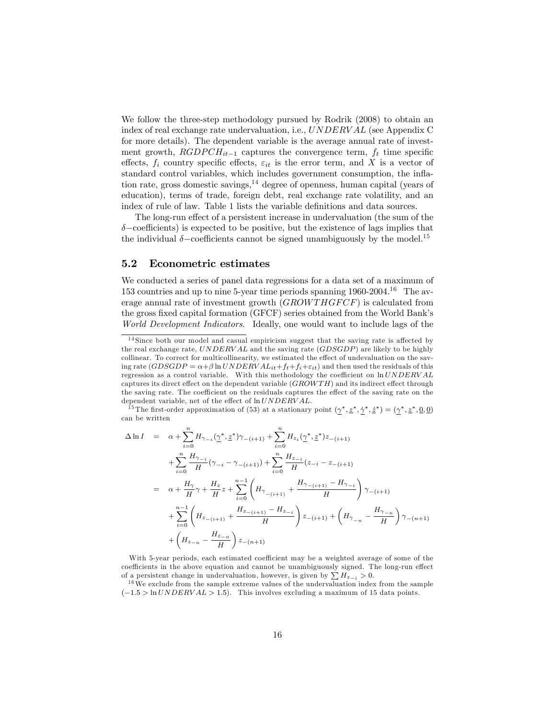We follow the three-step methodology pursued by Rodrik (2008) to obtain an index of real exchange rate undervaluation, i.e., UNDERV AL (see Appendix C for more details). The dependent variable is the average annual rate of investment growth,  $RGDPCH_{it-1}$  captures the convergence term,  $f_t$  time specific effects,  $f_i$  country specific effects,  $\varepsilon_{it}$  is the error term, and X is a vector of standard control variables, which includes government consumption, the inflation rate, gross domestic savings,  $14$  degree of openness, human capital (years of education), terms of trade, foreign debt, real exchange rate volatility, and an index of rule of law. Table 1 lists the variable definitions and data sources.

The long-run effect of a persistent increase in undervaluation (the sum of the  $\delta$ -coefficients) is expected to be positive, but the existence of lags implies that the individual  $\delta$ -coefficients cannot be signed unambiguously by the model.<sup>15</sup>

#### 5.2 Econometric estimates

We conducted a series of panel data regressions for a data set of a maximum of 153 countries and up to nine 5-year time periods spanning  $1960-2004$ .<sup>16</sup> The average annual rate of investment growth  $(GROWTHGFCF)$  is calculated from the gross fixed capital formation (GFCF) series obtained from the World Bank's World Development Indicators. Ideally, one would want to include lags of the

<sup>15</sup> The first-order approximation of (53) at a stationary point  $(\gamma^*, \underline{z}^*, \dot{\gamma}^*, \dot{\underline{z}}^*) = (\gamma^*, \underline{z}^*, 0, 0)$ can be written

$$
\Delta \ln I = \alpha + \sum_{i=0}^{n} H_{\gamma_{-i}}(\underline{\gamma}^*, \underline{z}^*)\gamma_{-(i+1)} + \sum_{i=0}^{n} H_{z_i}(\underline{\gamma}^*, \underline{z}^*)z_{-(i+1)} \n+ \sum_{i=0}^{n} \frac{H_{\gamma_{-i}}}{H}(\gamma_{-i} - \gamma_{-(i+1)}) + \sum_{i=0}^{n} \frac{H_{z_{-i}}}{H}(z_{-i} - z_{-(i+1)} \n= \alpha + \frac{H_{\gamma}}{H}\gamma + \frac{H_{z}}{H}z + \sum_{i=0}^{n-1} \left(H_{\gamma_{-(i+1)}} + \frac{H_{\gamma_{-(i+1)}} - H_{\gamma_{-i}}}{H}\right)\gamma_{-(i+1)} \n+ \sum_{i=0}^{n-1} \left(H_{z_{-(i+1)}} + \frac{H_{z_{-(i+1)}} - H_{z_{-i}}}{H}\right)z_{-(i+1)} + \left(H_{\gamma_{-n}} - \frac{H_{\gamma_{-n}}}{H}\right)\gamma_{-(n+1)} \n+ \left(H_{z_{-n}} - \frac{H_{z_{-n}}}{H}\right)z_{-(n+1)}
$$

With 5-year periods, each estimated coefficient may be a weighted average of some of the coefficients in the above equation and cannot be unambiguously signed. The long-run effect of a persistent change in undervaluation, however, is given by  $\sum H_{z-i} > 0$ .

 $16$  We exclude from the sample extreme values of the undervaluation index from the sample  $(-1.5 > \ln UNDERVAL > 1.5)$ . This involves excluding a maximum of 15 data points.

 $14$  Since both our model and casual empiricism suggest that the saving rate is affected by the real exchange rate,  $UNDERVAL$  and the saving rate  $(GDSGDP)$  are likely to be highly collinear. To correct for multicollinearity, we estimated the effect of undevaluation on the saving rate  $(GDSGDP = \alpha + \beta \ln UNDERVAL_{it} + f_t + f_i + \varepsilon_{it}$  and then used the residuals of this regression as a control variable. With this methodology the coefficient on  $ln UNDERVAL$ captures its direct effect on the dependent variable  $(GROW TH)$  and its indirect effect through the saving rate. The coefficient on the residuals captures the effect of the saving rate on the dependent variable, net of the effect of  $ln UNDERVAL$ .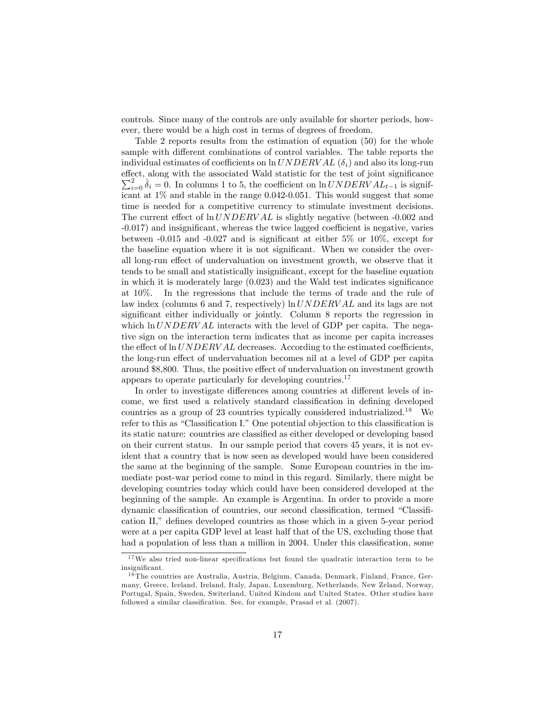controls. Since many of the controls are only available for shorter periods, however, there would be a high cost in terms of degrees of freedom.

Table 2 reports results from the estimation of equation (50) for the whole sample with different combinations of control variables. The table reports the individual estimates of coefficients on  $\ln UNDERVAL{o}$  and also its long-run effect, along with the associated Wald statistic for the test of joint significance  $\sum_{i=0}^{2} \hat{\delta}_i = 0$ . In columns 1 to 5, the coefficient on ln UNDERV AL<sub>t-1</sub> is significant at 1% and stable in the range 0.042-0.051. This would suggest that some time is needed for a competitive currency to stimulate investment decisions. The current effect of  $\ln UNDERVAL$  is slightly negative (between -0.002 and -0.017) and insignificant, whereas the twice lagged coefficient is negative, varies between  $-0.015$  and  $-0.027$  and is significant at either 5% or 10%, except for the baseline equation where it is not significant. When we consider the overall long-run effect of undervaluation on investment growth, we observe that it tends to be small and statistically insignificant, except for the baseline equation in which it is moderately large  $(0.023)$  and the Wald test indicates significance at 10%. In the regressions that include the terms of trade and the rule of law index (columns 6 and 7, respectively)  $\ln UNDERVAL$  and its lags are not significant either individually or jointly. Column 8 reports the regression in which  $\ln UNDERVAL$  interacts with the level of GDP per capita. The negative sign on the interaction term indicates that as income per capita increases the effect of  $\ln UNDERVAL$  decreases. According to the estimated coefficients, the long-run effect of undervaluation becomes nil at a level of GDP per capita around \$8,800. Thus, the positive effect of undervaluation on investment growth appears to operate particularly for developing countries.<sup>17</sup>

In order to investigate differences among countries at different levels of income, we first used a relatively standard classification in defining developed countries as a group of 23 countries typically considered industrialized.<sup>18</sup> We refer to this as "Classification I." One potential objection to this classification is its static nature: countries are classified as either developed or developing based on their current status. In our sample period that covers 45 years, it is not evident that a country that is now seen as developed would have been considered the same at the beginning of the sample. Some European countries in the immediate post-war period come to mind in this regard. Similarly, there might be developing countries today which could have been considered developed at the beginning of the sample. An example is Argentina. In order to provide a more dynamic classification of countries, our second classification, termed "Classification II," defines developed countries as those which in a given 5-year period were at a per capita GDP level at least half that of the US, excluding those that had a population of less than a million in 2004. Under this classification, some

 $17$ We also tried non-linear specifications but found the quadratic interaction term to be insignificant.

<sup>&</sup>lt;sup>18</sup> The countries are Australia, Austria, Belgium, Canada, Denmark, Finland, France, Germany, Greece, Iceland, Ireland, Italy, Japan, Luxemburg, Netherlands, New Zeland, Norway, Portugal, Spain, Sweden, Switerland, United Kindom and United States. Other studies have followed a similar classification. See, for example, Prasad et al. (2007).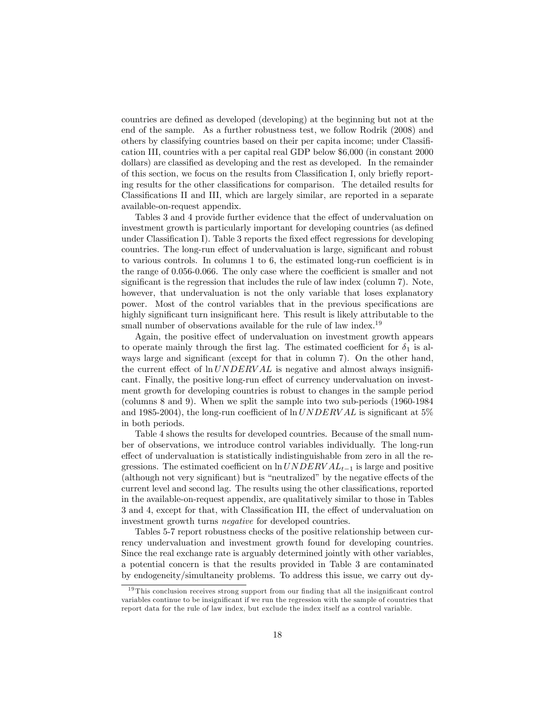countries are deÖned as developed (developing) at the beginning but not at the end of the sample. As a further robustness test, we follow Rodrik (2008) and others by classifying countries based on their per capita income; under ClassiÖcation III, countries with a per capital real GDP below \$6,000 (in constant 2000 dollars) are classified as developing and the rest as developed. In the remainder of this section, we focus on the results from Classification I, only briefly reporting results for the other classifications for comparison. The detailed results for Classifications II and III, which are largely similar, are reported in a separate available-on-request appendix.

Tables 3 and 4 provide further evidence that the effect of undervaluation on investment growth is particularly important for developing countries (as defined under Classification I). Table 3 reports the fixed effect regressions for developing countries. The long-run effect of undervaluation is large, significant and robust to various controls. In columns  $1$  to  $6$ , the estimated long-run coefficient is in the range of  $0.056$ -0.066. The only case where the coefficient is smaller and not significant is the regression that includes the rule of law index (column  $7$ ). Note, however, that undervaluation is not the only variable that loses explanatory power. Most of the control variables that in the previous specifications are highly significant turn insignificant here. This result is likely attributable to the small number of observations available for the rule of law index.<sup>19</sup>

Again, the positive effect of undervaluation on investment growth appears to operate mainly through the first lag. The estimated coefficient for  $\delta_1$  is always large and significant (except for that in column 7). On the other hand, the current effect of  $\ln UNDERVAL$  is negative and almost always insignificant. Finally, the positive long-run effect of currency undervaluation on investment growth for developing countries is robust to changes in the sample period (columns 8 and 9). When we split the sample into two sub-periods (1960-1984 and 1985-2004), the long-run coefficient of  $\ln UNDERVAL$  is significant at 5% in both periods.

Table 4 shows the results for developed countries. Because of the small number of observations, we introduce control variables individually. The long-run effect of undervaluation is statistically indistinguishable from zero in all the regressions. The estimated coefficient on  $\ln UNDERVAL_{t-1}$  is large and positive (although not very significant) but is "neutralized" by the negative effects of the current level and second lag. The results using the other classifications, reported in the available-on-request appendix, are qualitatively similar to those in Tables 3 and 4, except for that, with Classification III, the effect of undervaluation on investment growth turns negative for developed countries.

Tables 5-7 report robustness checks of the positive relationship between currency undervaluation and investment growth found for developing countries. Since the real exchange rate is arguably determined jointly with other variables, a potential concern is that the results provided in Table 3 are contaminated by endogeneity/simultaneity problems. To address this issue, we carry out dy-

 $19$  This conclusion receives strong support from our finding that all the insignificant control variables continue to be insignificant if we run the regression with the sample of countries that report data for the rule of law index, but exclude the index itself as a control variable.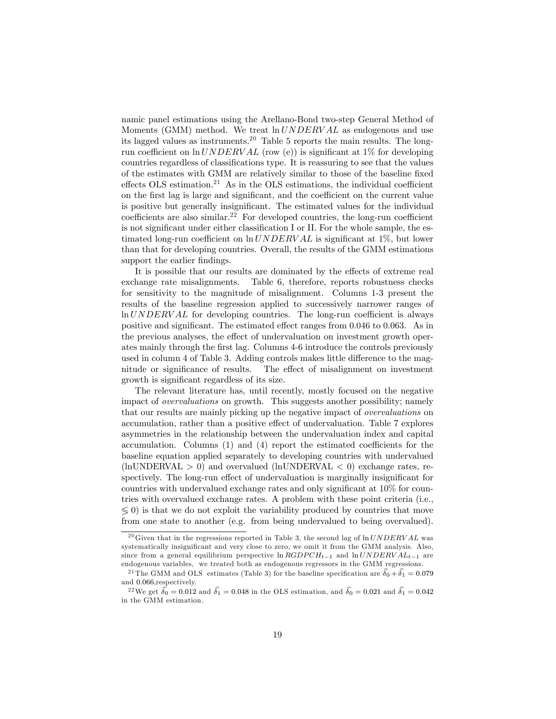namic panel estimations using the Arellano-Bond two-step General Method of Moments (GMM) method. We treat  $ln UNDERVAL$  as endogenous and use its lagged values as instruments.<sup>20</sup> Table 5 reports the main results. The longrun coefficient on ln  $UNDERVAL$  (row (e)) is significant at 1% for developing countries regardless of classifications type. It is reassuring to see that the values of the estimates with GMM are relatively similar to those of the baseline fixed effects OLS estimation.<sup>21</sup> As in the OLS estimations, the individual coefficient on the first lag is large and significant, and the coefficient on the current value is positive but generally insignificant. The estimated values for the individual coefficients are also similar.<sup>22</sup> For developed countries, the long-run coefficient is not significant under either classification I or II. For the whole sample, the estimated long-run coefficient on  $\ln UNDERVAL$  is significant at 1%, but lower than that for developing countries. Overall, the results of the GMM estimations support the earlier findings.

It is possible that our results are dominated by the effects of extreme real exchange rate misalignments. Table 6, therefore, reports robustness checks for sensitivity to the magnitude of misalignment. Columns 1-3 present the results of the baseline regression applied to successively narrower ranges of  $ln UNDERVAL$  for developing countries. The long-run coefficient is always positive and significant. The estimated effect ranges from  $0.046$  to  $0.063$ . As in the previous analyses, the effect of undervaluation on investment growth operates mainly through the first lag. Columns 4-6 introduce the controls previously used in column 4 of Table 3. Adding controls makes little difference to the magnitude or significance of results. The effect of misalignment on investment growth is significant regardless of its size.

The relevant literature has, until recently, mostly focused on the negative impact of *overvaluations* on growth. This suggests another possibility; namely that our results are mainly picking up the negative impact of *overvaluations* on accumulation, rather than a positive effect of undervaluation. Table 7 explores asymmetries in the relationship between the undervaluation index and capital accumulation. Columns  $(1)$  and  $(4)$  report the estimated coefficients for the baseline equation applied separately to developing countries with undervalued  $(\text{lnUNDERVAL} > 0)$  and overvalued  $(\text{lnUNDERVAL} < 0)$  exchange rates, respectively. The long-run effect of undervaluation is marginally insignificant for countries with undervalued exchange rates and only significant at  $10\%$  for countries with overvalued exchange rates. A problem with these point criteria (i.e.,  $\leqslant$  0) is that we do not exploit the variability produced by countries that move from one state to another (e.g. from being undervalued to being overvalued).

<sup>&</sup>lt;sup>20</sup>Given that in the regressions reported in Table 3, the second lag of  $ln UNDERVAL$  was systematically insignificant and very close to zero, we omit it from the GMM analysis. Also, since from a general equilibrium perspective ln  $RGDPCH_{t-1}$  and ln  $UNDERVAL_{t-1}$  are endogenous variables, we treated both as endogenous regressors in the GMM regressions.

<sup>&</sup>lt;sup>21</sup> The GMM and OLS estimates (Table 3) for the baseline specification are  $\hat{\delta}_0 + \hat{\delta}_1 = 0.079$ and 0:066;respectively.

<sup>&</sup>lt;sup>22</sup>We get  $\hat{\delta}_0 = 0.012$  and  $\hat{\delta}_1 = 0.048$  in the OLS estimation, and  $\hat{\delta}_0 = 0.021$  and  $\hat{\delta}_1 = 0.042$ in the GMM estimation.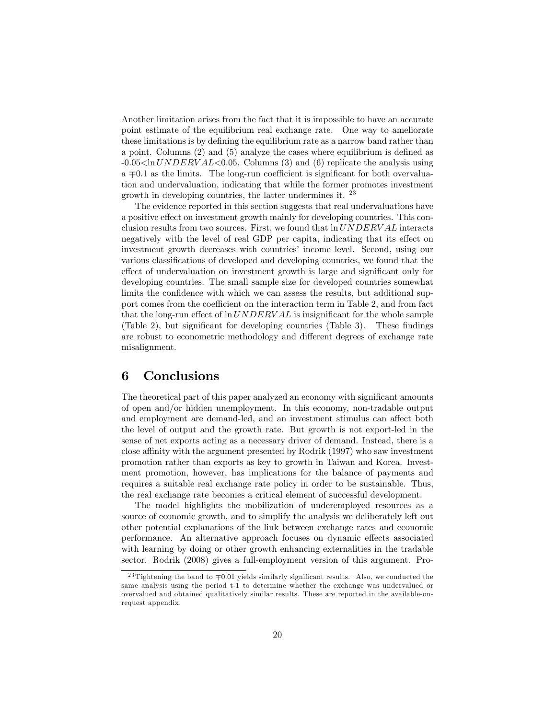Another limitation arises from the fact that it is impossible to have an accurate point estimate of the equilibrium real exchange rate. One way to ameliorate these limitations is by defining the equilibrium rate as a narrow band rather than a point. Columns  $(2)$  and  $(5)$  analyze the cases where equilibrium is defined as  $-0.05\leq\ln UNDERVALleq 0.05$ . Columns (3) and (6) replicate the analysis using a  $\mp$ 0.1 as the limits. The long-run coefficient is significant for both overvaluation and undervaluation, indicating that while the former promotes investment growth in developing countries, the latter undermines it. <sup>23</sup>

The evidence reported in this section suggests that real undervaluations have a positive effect on investment growth mainly for developing countries. This conclusion results from two sources. First, we found that  $\ln UNDERVAL$  interacts negatively with the level of real GDP per capita, indicating that its effect on investment growth decreases with countries' income level. Second, using our various classifications of developed and developing countries, we found that the effect of undervaluation on investment growth is large and significant only for developing countries. The small sample size for developed countries somewhat limits the confidence with which we can assess the results, but additional support comes from the coefficient on the interaction term in Table 2, and from fact that the long-run effect of  $ln UNDERVAL$  is insignificant for the whole sample (Table 2), but significant for developing countries (Table 3). These findings are robust to econometric methodology and different degrees of exchange rate misalignment.

# 6 Conclusions

The theoretical part of this paper analyzed an economy with significant amounts of open and/or hidden unemployment. In this economy, non-tradable output and employment are demand-led, and an investment stimulus can affect both the level of output and the growth rate. But growth is not export-led in the sense of net exports acting as a necessary driver of demand. Instead, there is a close affinity with the argument presented by Rodrik (1997) who saw investment promotion rather than exports as key to growth in Taiwan and Korea. Investment promotion, however, has implications for the balance of payments and requires a suitable real exchange rate policy in order to be sustainable. Thus, the real exchange rate becomes a critical element of successful development.

The model highlights the mobilization of underemployed resources as a source of economic growth, and to simplify the analysis we deliberately left out other potential explanations of the link between exchange rates and economic performance. An alternative approach focuses on dynamic effects associated with learning by doing or other growth enhancing externalities in the tradable sector. Rodrik (2008) gives a full-employment version of this argument. Pro-

<sup>&</sup>lt;sup>23</sup> Tightening the band to  $\mp 0.01$  yields similarly significant results. Also, we conducted the same analysis using the period t-1 to determine whether the exchange was undervalued or overvalued and obtained qualitatively similar results. These are reported in the available-onrequest appendix.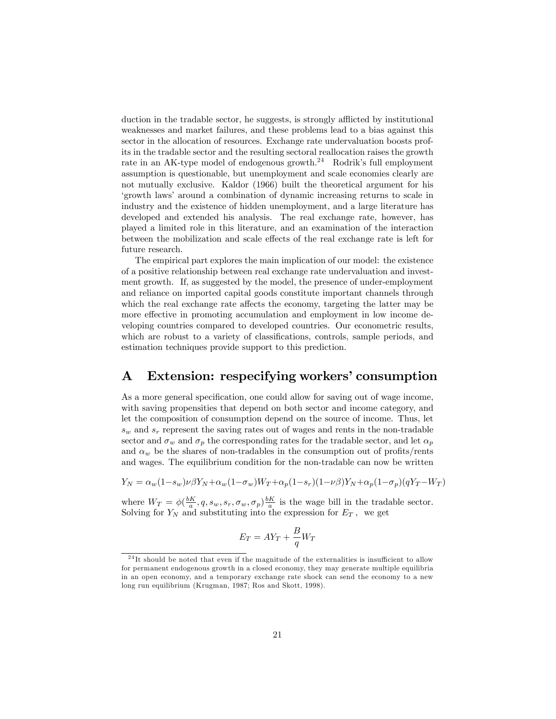duction in the tradable sector, he suggests, is strongly afflicted by institutional weaknesses and market failures, and these problems lead to a bias against this sector in the allocation of resources. Exchange rate undervaluation boosts profits in the tradable sector and the resulting sectoral reallocation raises the growth rate in an AK-type model of endogenous growth.<sup>24</sup> Rodrik's full employment assumption is questionable, but unemployment and scale economies clearly are not mutually exclusive. Kaldor (1966) built the theoretical argument for his ëgrowth lawsí around a combination of dynamic increasing returns to scale in industry and the existence of hidden unemployment, and a large literature has developed and extended his analysis. The real exchange rate, however, has played a limited role in this literature, and an examination of the interaction between the mobilization and scale effects of the real exchange rate is left for future research.

The empirical part explores the main implication of our model: the existence of a positive relationship between real exchange rate undervaluation and investment growth. If, as suggested by the model, the presence of under-employment and reliance on imported capital goods constitute important channels through which the real exchange rate affects the economy, targeting the latter may be more effective in promoting accumulation and employment in low income developing countries compared to developed countries. Our econometric results, which are robust to a variety of classifications, controls, sample periods, and estimation techniques provide support to this prediction.

# A Extension: respecifying workers' consumption

As a more general specification, one could allow for saving out of wage income, with saving propensities that depend on both sector and income category, and let the composition of consumption depend on the source of income. Thus, let  $s_w$  and  $s_r$  represent the saving rates out of wages and rents in the non-tradable sector and  $\sigma_w$  and  $\sigma_p$  the corresponding rates for the tradable sector, and let  $\alpha_p$ and  $\alpha_w$  be the shares of non-tradables in the consumption out of profits/rents and wages. The equilibrium condition for the non-tradable can now be written

$$
Y_N = \alpha_w (1 - s_w) \nu \beta Y_N + \alpha_w (1 - \sigma_w) W_T + \alpha_p (1 - s_r) (1 - \nu \beta) Y_N + \alpha_p (1 - \sigma_p) (q Y_T - W_T)
$$

where  $W_T = \phi(\frac{bK}{a}, q, s_w, s_r, \sigma_w, \sigma_p) \frac{bK}{a}$  is the wage bill in the tradable sector. Solving for  $Y_N$  and substituting into the expression for  $E_T$ , we get

$$
E_T = AY_T + \frac{B}{q}W_T
$$

 $24$ It should be noted that even if the magnitude of the externalities is insufficient to allow for permanent endogenous growth in a closed economy, they may generate multiple equilibria in an open economy, and a temporary exchange rate shock can send the economy to a new long run equilibrium (Krugman, 1987; Ros and Skott, 1998).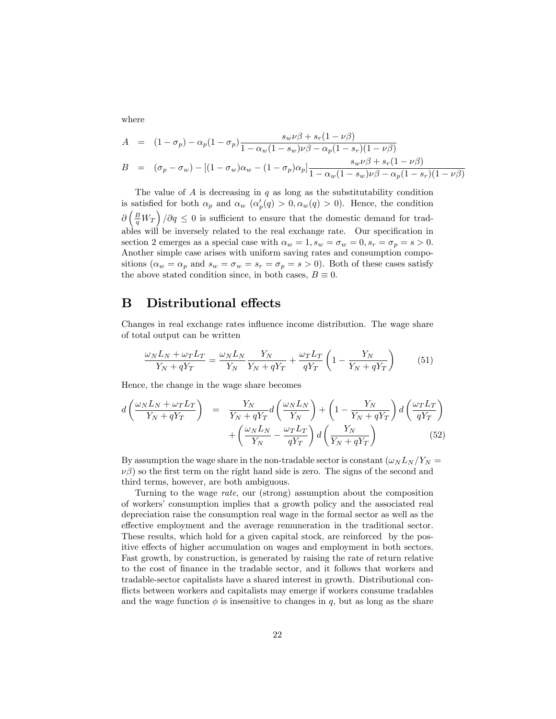where

$$
A = (1 - \sigma_p) - \alpha_p (1 - \sigma_p) \frac{s_w \nu \beta + s_r (1 - \nu \beta)}{1 - \alpha_w (1 - s_w) \nu \beta - \alpha_p (1 - s_r) (1 - \nu \beta)}
$$
  
\n
$$
B = (\sigma_p - \sigma_w) - [(1 - \sigma_w) \alpha_w - (1 - \sigma_p) \alpha_p] \frac{s_w \nu \beta + s_r (1 - \nu \beta)}{1 - \alpha_w (1 - s_w) \nu \beta - \alpha_p (1 - s_r) (1 - \nu \beta)}
$$

The value of  $A$  is decreasing in  $q$  as long as the substitutability condition is satisfied for both  $\alpha_p$  and  $\alpha_w$  ( $\alpha_p'(q) > 0, \alpha_w(q) > 0$ ). Hence, the condition  $\partial \left(\frac{B}{q}W_T\right)/\partial q \leq 0$  is sufficient to ensure that the domestic demand for tradables will be inversely related to the real exchange rate. Our specification in section 2 emerges as a special case with  $\alpha_w = 1, s_w = \sigma_w = 0, s_r = \sigma_p = s > 0$ . Another simple case arises with uniform saving rates and consumption compositions  $(\alpha_w = \alpha_p \text{ and } s_w = \sigma_w = s_r = \sigma_p = s > 0)$ . Both of these cases satisfy the above stated condition since, in both cases,  $B \equiv 0$ .

# B Distributional effects

Changes in real exchange rates influence income distribution. The wage share of total output can be written

$$
\frac{\omega_N L_N + \omega_T L_T}{Y_N + qY_T} = \frac{\omega_N L_N}{Y_N} \frac{Y_N}{Y_N + qY_T} + \frac{\omega_T L_T}{qY_T} \left(1 - \frac{Y_N}{Y_N + qY_T}\right) \tag{51}
$$

Hence, the change in the wage share becomes

$$
d\left(\frac{\omega_{N}L_{N} + \omega_{T}L_{T}}{Y_{N} + qY_{T}}\right) = \frac{Y_{N}}{Y_{N} + qY_{T}}d\left(\frac{\omega_{N}L_{N}}{Y_{N}}\right) + \left(1 - \frac{Y_{N}}{Y_{N} + qY_{T}}\right)d\left(\frac{\omega_{T}L_{T}}{qY_{T}}\right) + \left(\frac{\omega_{N}L_{N}}{Y_{N}} - \frac{\omega_{T}L_{T}}{qY_{T}}\right)d\left(\frac{Y_{N}}{Y_{N} + qY_{T}}\right)
$$
(52)

By assumption the wage share in the non-tradable sector is constant  $(\omega_N L_N / Y_N =$  $\nu\beta$ ) so the first term on the right hand side is zero. The signs of the second and third terms, however, are both ambiguous.

Turning to the wage rate, our (strong) assumption about the composition of workers' consumption implies that a growth policy and the associated real depreciation raise the consumption real wage in the formal sector as well as the effective employment and the average remuneration in the traditional sector. These results, which hold for a given capital stock, are reinforced by the positive effects of higher accumulation on wages and employment in both sectors. Fast growth, by construction, is generated by raising the rate of return relative to the cost of finance in the tradable sector, and it follows that workers and tradable-sector capitalists have a shared interest in growth. Distributional conflicts between workers and capitalists may emerge if workers consume tradables and the wage function  $\phi$  is insensitive to changes in q, but as long as the share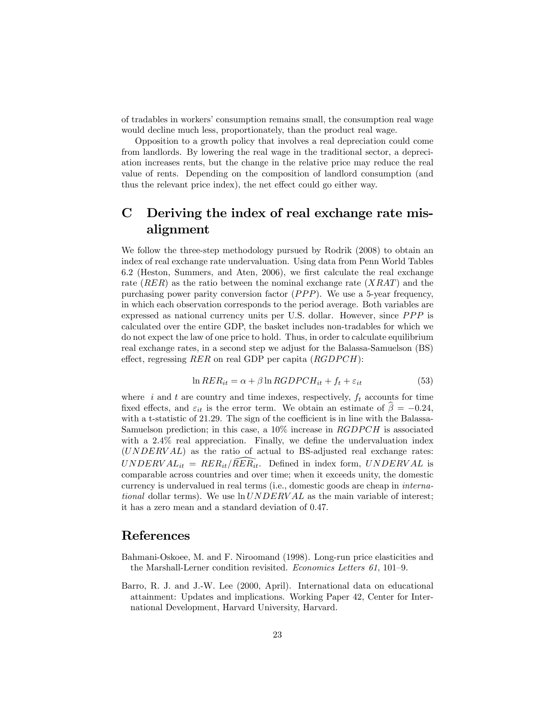of tradables in workers' consumption remains small, the consumption real wage would decline much less, proportionately, than the product real wage.

Opposition to a growth policy that involves a real depreciation could come from landlords. By lowering the real wage in the traditional sector, a depreciation increases rents, but the change in the relative price may reduce the real value of rents. Depending on the composition of landlord consumption (and thus the relevant price index), the net effect could go either way.

# C Deriving the index of real exchange rate misalignment

We follow the three-step methodology pursued by Rodrik (2008) to obtain an index of real exchange rate undervaluation. Using data from Penn World Tables 6.2 (Heston, Summers, and Aten, 2006), we first calculate the real exchange rate  $(RER)$  as the ratio between the nominal exchange rate  $(XRAT)$  and the purchasing power parity conversion factor  $(PPP)$ . We use a 5-year frequency, in which each observation corresponds to the period average. Both variables are expressed as national currency units per U.S. dollar. However, since  $PPP$  is calculated over the entire GDP, the basket includes non-tradables for which we do not expect the law of one price to hold. Thus, in order to calculate equilibrium real exchange rates, in a second step we adjust for the Balassa-Samuelson (BS) effect, regressing  $RER$  on real GDP per capita  $(RGDPCH)$ :

$$
\ln RER_{it} = \alpha + \beta \ln RGDPCH_{it} + f_t + \varepsilon_{it} \tag{53}
$$

where  $i$  and  $t$  are country and time indexes, respectively,  $f_t$  accounts for time fixed effects, and  $\varepsilon_{it}$  is the error term. We obtain an estimate of  $\beta = -0.24$ , with a t-statistic of  $21.29$ . The sign of the coefficient is in line with the Balassa-Samuelson prediction; in this case, a  $10\%$  increase in  $RGDPCH$  is associated with a  $2.4\%$  real appreciation. Finally, we define the undervaluation index (UNDERV AL) as the ratio of actual to BS-adjusted real exchange rates:  $UNDERVAL_{it} = RER_{it}/\widehat{RER_{it}}$ . Defined in index form,  $UNDERVAL$  is comparable across countries and over time; when it exceeds unity, the domestic currency is undervalued in real terms (i.e., domestic goods are cheap in international dollar terms). We use  $\ln UNDERVAL$  as the main variable of interest; it has a zero mean and a standard deviation of 0.47.

### References

- Bahmani-Oskoee, M. and F. Niroomand (1998). Long-run price elasticities and the Marshall-Lerner condition revisited. Economics Letters  $61$ ,  $101-9$ .
- Barro, R. J. and J.-W. Lee (2000, April). International data on educational attainment: Updates and implications. Working Paper 42, Center for International Development, Harvard University, Harvard.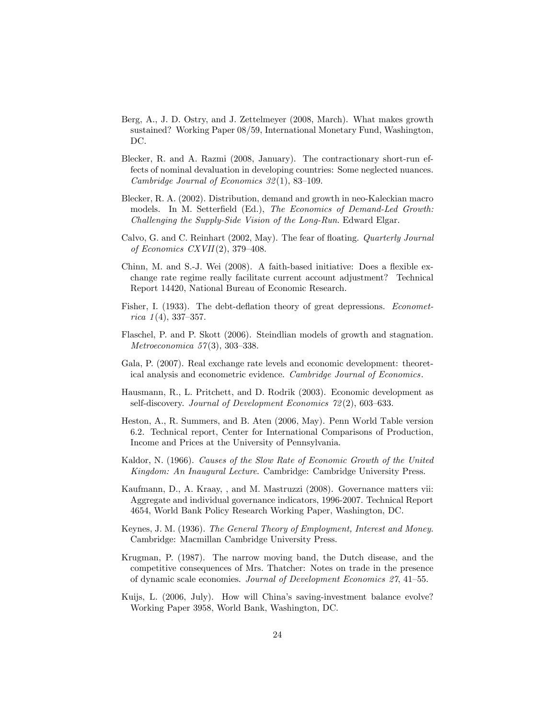- Berg, A., J. D. Ostry, and J. Zettelmeyer (2008, March). What makes growth sustained? Working Paper 08/59, International Monetary Fund, Washington, DC.
- Blecker, R. and A. Razmi (2008, January). The contractionary short-run effects of nominal devaluation in developing countries: Some neglected nuances. Cambridge Journal of Economics  $32(1)$ , 83-109.
- Blecker, R. A. (2002). Distribution, demand and growth in neo-Kaleckian macro models. In M. Setterfield (Ed.), The Economics of Demand-Led Growth: Challenging the Supply-Side Vision of the Long-Run. Edward Elgar.
- Calvo, G. and C. Reinhart (2002, May). The fear of floating. Quarterly Journal of Economics CXVII(2), 379-408.
- Chinn, M. and S.-J. Wei (2008). A faith-based initiative: Does a flexible exchange rate regime really facilitate current account adjustment? Technical Report 14420, National Bureau of Economic Research.
- Fisher, I. (1933). The debt-deflation theory of great depressions. *Economet*rica  $1(4)$ , 337–357.
- Flaschel, P. and P. Skott (2006). Steindlian models of growth and stagnation. *Metroeconomica* 57(3), 303-338.
- Gala, P. (2007). Real exchange rate levels and economic development: theoretical analysis and econometric evidence. Cambridge Journal of Economics.
- Hausmann, R., L. Pritchett, and D. Rodrik (2003). Economic development as self-discovery. Journal of Development Economics  $72(2)$ , 603–633.
- Heston, A., R. Summers, and B. Aten (2006, May). Penn World Table version 6.2. Technical report, Center for International Comparisons of Production, Income and Prices at the University of Pennsylvania.
- Kaldor, N. (1966). Causes of the Slow Rate of Economic Growth of the United Kingdom: An Inaugural Lecture. Cambridge: Cambridge University Press.
- Kaufmann, D., A. Kraay, , and M. Mastruzzi (2008). Governance matters vii: Aggregate and individual governance indicators, 1996-2007. Technical Report 4654, World Bank Policy Research Working Paper, Washington, DC.
- Keynes, J. M. (1936). The General Theory of Employment, Interest and Money. Cambridge: Macmillan Cambridge University Press.
- Krugman, P. (1987). The narrow moving band, the Dutch disease, and the competitive consequences of Mrs. Thatcher: Notes on trade in the presence of dynamic scale economies. Journal of Development Economics 27, 41-55.
- Kuijs, L. (2006, July). How will China's saving-investment balance evolve? Working Paper 3958, World Bank, Washington, DC.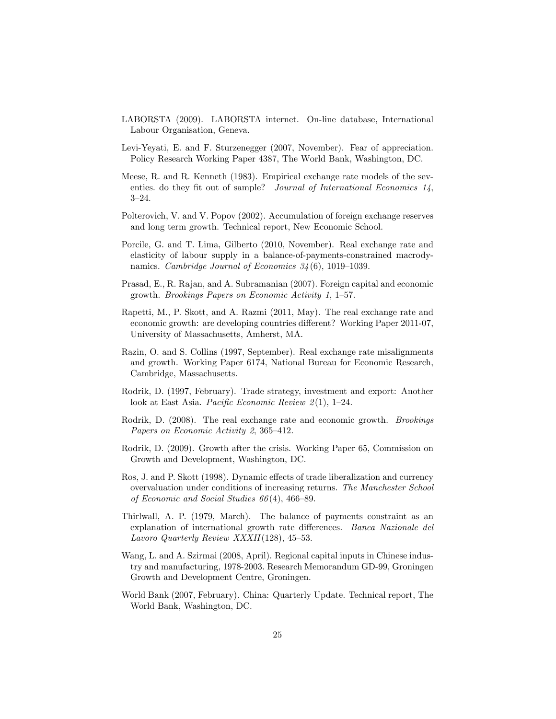- LABORSTA (2009). LABORSTA internet. On-line database, International Labour Organisation, Geneva.
- Levi-Yeyati, E. and F. Sturzenegger (2007, November). Fear of appreciation. Policy Research Working Paper 4387, The World Bank, Washington, DC.
- Meese, R. and R. Kenneth (1983). Empirical exchange rate models of the seventies. do they fit out of sample? Journal of International Economics  $1/4$ ,  $3 - 24.$
- Polterovich, V. and V. Popov (2002). Accumulation of foreign exchange reserves and long term growth. Technical report, New Economic School.
- Porcile, G. and T. Lima, Gilberto (2010, November). Real exchange rate and elasticity of labour supply in a balance-of-payments-constrained macrodynamics. Cambridge Journal of Economics  $34(6)$ , 1019–1039.
- Prasad, E., R. Rajan, and A. Subramanian (2007). Foreign capital and economic growth. Brookings Papers on Economic Activity  $1, 1-57$ .
- Rapetti, M., P. Skott, and A. Razmi (2011, May). The real exchange rate and economic growth: are developing countries different? Working Paper 2011-07, University of Massachusetts, Amherst, MA.
- Razin, O. and S. Collins (1997, September). Real exchange rate misalignments and growth. Working Paper 6174, National Bureau for Economic Research, Cambridge, Massachusetts.
- Rodrik, D. (1997, February). Trade strategy, investment and export: Another look at East Asia. *Pacific Economic Review 2(1)*, 1–24.
- Rodrik, D. (2008). The real exchange rate and economic growth. Brookings Papers on Economic Activity 2, 365–412.
- Rodrik, D. (2009). Growth after the crisis. Working Paper 65, Commission on Growth and Development, Washington, DC.
- Ros, J. and P. Skott (1998). Dynamic effects of trade liberalization and currency overvaluation under conditions of increasing returns. The Manchester School of Economic and Social Studies  $66(4)$ , 466–89.
- Thirlwall, A. P. (1979, March). The balance of payments constraint as an explanation of international growth rate differences. Banca Nazionale del Lavoro Quarterly Review XXXII(128), 45–53.
- Wang, L. and A. Szirmai (2008, April). Regional capital inputs in Chinese industry and manufacturing, 1978-2003. Research Memorandum GD-99, Groningen Growth and Development Centre, Groningen.
- World Bank (2007, February). China: Quarterly Update. Technical report, The World Bank, Washington, DC.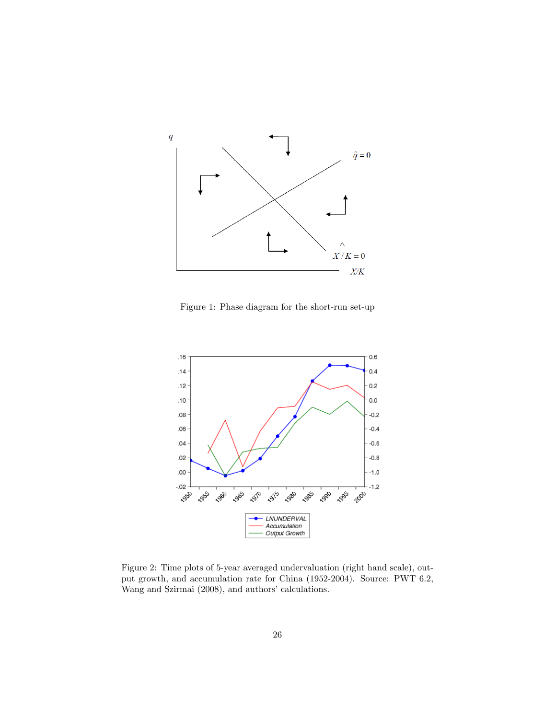

Figure 1: Phase diagram for the short-run set-up



Figure 2: Time plots of 5-year averaged undervaluation (right hand scale), output growth, and accumulation rate for China (1952-2004). Source: PWT 6.2, Wang and Szirmai (2008), and authors' calculations.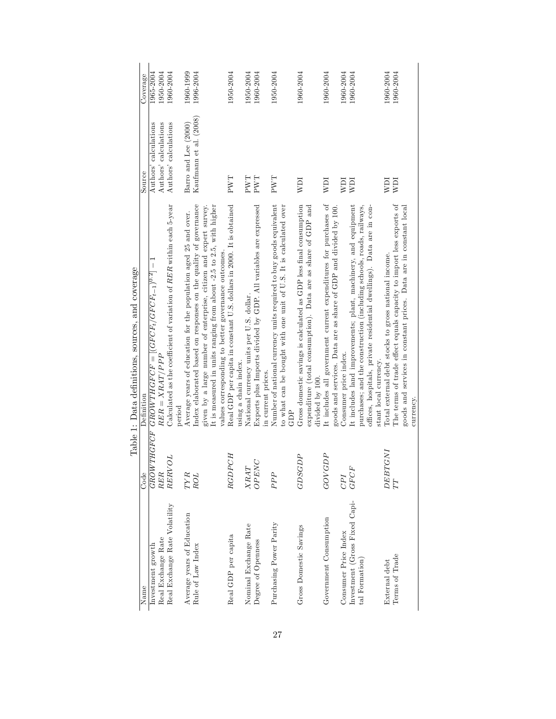|                                                 |                          | Table 1: Data definitions, sources, and coverage                                                                                                                                                                                        |                                                |                        |
|-------------------------------------------------|--------------------------|-----------------------------------------------------------------------------------------------------------------------------------------------------------------------------------------------------------------------------------------|------------------------------------------------|------------------------|
| Name                                            | Code                     | Definition                                                                                                                                                                                                                              | Source                                         | Coverage               |
| Investment growth                               | <b><i>GROWTHGFCF</i></b> | ${\cal G}ROMTHGFCF = [(GFCF_t/GFCF_{t-1})^{0.2}] - 1$                                                                                                                                                                                   | Authors' calculations                          | 1965-2004              |
| Real Exchange Rate                              | RER                      | $RER = XRAT/PPP$                                                                                                                                                                                                                        | Authors' calculations                          | 1950-2004              |
| Real Exchange Rate Volatility                   | TO<br>RERV               | Calculated as the coefficient of variation of $RER$ within each 5-year<br>period                                                                                                                                                        | Authors' calculations                          | 1960-2004              |
|                                                 |                          |                                                                                                                                                                                                                                         |                                                |                        |
| Average years of Education<br>Rule of Law Index | TYR<br>ROL               | Index elaborated based on responses on the quality of governance<br>Average years of education for the population aged 25 and over.                                                                                                     | Kaufmann et al. (2008)<br>Barro and Lee (2000) | 1960-1999<br>1996-2004 |
|                                                 |                          | It is measured in units ranging from about -2.5 to 2.5, with higher<br>given by a large number of enterprise, citizen and expert survey.                                                                                                |                                                |                        |
|                                                 |                          | values corresponding to better governance outcomes.                                                                                                                                                                                     |                                                |                        |
| Real GDP per capita                             | <b>RGDPCH</b>            | Real GDP per capita in constant U.S. dollars in 2000. It is obtained<br>using a chain index.                                                                                                                                            | PWT                                            | 1950-2004              |
| Nominal Exchange Rate                           | XRAT                     | National currency units per U.S. dollar.                                                                                                                                                                                                | PWT                                            | 1950-2004              |
| Degree of Openness                              | OPENC                    | Exports plus Imports divided by GDP. All variables are expressed<br>in current prices.                                                                                                                                                  | PWT                                            | 1960-2004              |
| Purchasing Power Parity                         | PPP                      | Number of national currency units required to buy goods equivalent<br>to what can be bought with one unit of U.S. It is calculated over<br>GDP                                                                                          | PWT                                            | 1950-2004              |
| Gross Domestic Savings                          | AC.<br><b>GDSG</b>       | Gross domestic savings is calculated as GDP less final consumption<br>expenditure (total consumption). Data are as share of GDP and<br>divided by 100.                                                                                  | IdM                                            | 1960-2004              |
| Government Consumption                          | <b>GOV GDP</b>           | It includes all government current expenditures for purchases of<br>goods and services. Data are as share of GDP and divided by 100.                                                                                                    | IIM                                            | 1960-2004              |
| Consumer Price Index                            | CPI                      | Consumer price index.                                                                                                                                                                                                                   | IdM                                            | 1960-2004              |
| Investment (Gross Fixed Capi-<br>tal Formation) | GFCF                     | It includes land improvements; plant, machinery, and equipment<br>purchases; and the construction (including schools, roads, railways,<br>offices, hospitals, private residential dwellings). Data are in con-<br>stant local currency. | ICM                                            | 1960-2004              |
| External debt                                   | <b>LND</b><br>DEBT       | Total external debt stocks to gross national income.                                                                                                                                                                                    | ICM                                            | 1960-2004              |
| Terms of Trade                                  | TT                       | The terms of trade effect equals capacity to import less exports of<br>goods and services in constant prices. Data are in constant local<br>currency.                                                                                   | IdM                                            | 1960-2004              |

Table 1: Deta definition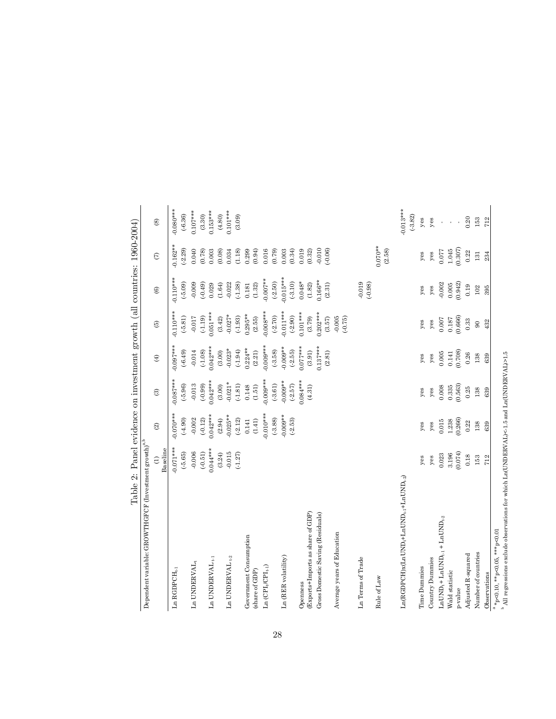|                                                                                                                    |                                |                         |                                |                                    |                                    | $\frac{1}{100}$ , $\frac{1}{200}$ , $\frac{1}{20}$ , $\frac{1}{200}$ , $\frac{1}{200}$ , $\frac{1}{200}$ , $\frac{1}{200}$ , $\frac{1}{200}$ , $\frac{1}{200}$ , $\frac{1}{200}$ , $\frac{1}{200}$ |                             |                                              |
|--------------------------------------------------------------------------------------------------------------------|--------------------------------|-------------------------|--------------------------------|------------------------------------|------------------------------------|----------------------------------------------------------------------------------------------------------------------------------------------------------------------------------------------------|-----------------------------|----------------------------------------------|
| Dependent variable: GROWTHGFCF (Investment growth) $^{\mathrm{a,b}}$                                               |                                |                         |                                |                                    |                                    |                                                                                                                                                                                                    |                             |                                              |
|                                                                                                                    | Baseline<br>$\widehat{\Xi}$    | $\widehat{\otimes}$     | $\circledS$                    | $\bigoplus$                        | $\widehat{E}$                      | $\circledcirc$                                                                                                                                                                                     | $\epsilon$                  | $\circledcirc$                               |
| $Ln$ $RGDPCH_{t\text{-}1}$                                                                                         | $0.071***$<br>$(-5.65)$        | $0.070***$<br>(4.90)    | $-0.087***$<br>$(-5.96)$       | $0.097***$<br>$(-6.49)$            | $0.110***$<br>$(-5.81)$            | $0.110***$<br>$(-5.09)$                                                                                                                                                                            | $-0.162**$<br>$(-2.29)$     | $0.080***$<br>$(-6.36)$                      |
| $Ln$ UNDERVAL $_t$                                                                                                 | $-0.006$<br>$(-0.51)$          | $-0.002$<br>$(-0.12)$   | $-0.013$                       | $-0.014$                           | $-0.017$                           | $-0.009$<br>(0.49)                                                                                                                                                                                 | 0.040<br>(0.78)             | $0.107***$                                   |
| $Ln$ UNDERVAL $_{\rm t\text{-}1}$                                                                                  | $0.044***$<br>(3.24)           | $0.042***$<br>(2.94)    | $0.042***$<br>(98.0)<br>(3.00) | $0.042***$<br>(.1.08)<br>(3.00)    | $0.051***$<br>$(-1.19)$<br>(3.42)  | 0.029<br>(1.64)                                                                                                                                                                                    | 0.003<br>(0.08)             | $0.153***$<br>$\left( 4.80\right)$<br>(3.30) |
| $Ln$ UNDERVAL $_{\rm t-2}$                                                                                         | $-0.015$<br>$(-1.27)$          | $0.025**$<br>$(-2.12)$  | $-0.021*$<br>(.1.81)           | $-0.023*$<br>$(-1.94)$             | $-0.027*$<br>$(-1.93)$             | $-0.022$<br>$(-1.38)$                                                                                                                                                                              | 0.034<br>(1.18)             | $0.101***$<br>(3.09)                         |
| Government Consumption<br>(share of GDP)                                                                           |                                | (1.41)<br>0.141         | 0.148<br>(1.51)                | $0.224**$<br>(2.21)                | $0.295**$<br>(2.55)                | (1.32)<br>0.181                                                                                                                                                                                    | 0.299<br>(0.94)             |                                              |
| Ln $(CPI_{\theta} CPI_{t\text{-}1})$                                                                               |                                | $0.010***$<br>$(-3.88)$ | $0.009***$<br>$(-3.61)$        | $0.009***$<br>$(-3.58)$            | $0.008***$<br>$(-2.70)$            | $-0.007**$<br>$(-2.50)$                                                                                                                                                                            | 0.016<br>(0.79)             |                                              |
| Ln (RER volatility)                                                                                                |                                | $0.009**$<br>$(-2.53)$  | $0.009**$<br>$(-2.57)$         | $0.009**$<br>$(-2.55)$             | $0.011***$<br>$(-2.90)$            | $0.015***$<br>$(-3.10)$                                                                                                                                                                            | 0.003<br>(0.34)             |                                              |
| (Exports+Imports as share of GDP)<br>Gross Domestic Saving (Residuals)<br>Openness                                 |                                |                         | $0.084***$<br>(4.31)           | $0.137***$<br>$0.077***$<br>(3.91) | $0.202***$<br>$0.101***$<br>(3.79) | $0.166**$<br>$0.048*$<br>$(1.82)$                                                                                                                                                                  | $-0.010$<br>0.019<br>(0.32) |                                              |
| Average years of Education                                                                                         |                                |                         |                                | (2.81)                             | $-0.005$<br>$(-0.75)$<br>(3.57)    | (2.31)                                                                                                                                                                                             | $(-0.06)$                   |                                              |
| Ln Terms of Trade                                                                                                  |                                |                         |                                |                                    |                                    | 0.019<br>(.0.98)                                                                                                                                                                                   |                             |                                              |
| Rule of Law                                                                                                        |                                |                         |                                |                                    |                                    |                                                                                                                                                                                                    | $0.070**$<br>(2.58)         |                                              |
| $\text{Ln}(\text{RGBPE})$ x $(\text{Ln} \text{UND}_t + \text{Ln} \text{UND}_t, \text{+Ln} \text{UND}_t, \text{2})$ |                                |                         |                                |                                    |                                    |                                                                                                                                                                                                    |                             | $-0.013***$<br>$(-3.82)$                     |
| Time Dummies                                                                                                       | yes                            | yes                     | yes                            | yes                                | yes                                | yes                                                                                                                                                                                                | yes                         | $y$ es                                       |
| Country Dummies                                                                                                    | yes                            | $y$ es                  | $y$ es                         | $y$ es                             | $y$ es                             | $y$ es                                                                                                                                                                                             | $y$ es                      | yes                                          |
| $\texttt{LnUND}_{t} + \texttt{LnUND}_{t\text{-}1} + \texttt{LnUND}_{t\text{-}2}$                                   | 0.023                          | 0.015                   | $0.008$                        | $0.005\,$                          | $0.007$                            | $-0.002$                                                                                                                                                                                           | 0.077                       | í,                                           |
| Wald statistic<br>p-value                                                                                          | (0.074)<br>3.196               | $1.238$<br>$(0.266)$    | $0.335$<br>$(0.563)$           | $0.141$<br>$(0.708)$               | $0.187$<br>$(0.666)$               | $0.005$<br>$(0.942)$                                                                                                                                                                               | (0.307)<br>1.045            |                                              |
| Adjusted R-squared                                                                                                 | 0.18                           | 0.22                    | 0.25                           | 0.26                               | 0.33                               | 0.19                                                                                                                                                                                               | 0.22                        | 0.20                                         |
| Number of countries                                                                                                | 153                            | 138                     | 138                            | 138                                | $\overline{6}$                     | 102                                                                                                                                                                                                | $131\,$                     | 153                                          |
| Observations                                                                                                       | 712                            | 639                     | 639                            | 639                                | 432                                | 395                                                                                                                                                                                                | 234                         | 712                                          |
| $a * p < 0.10, * p < 0.05, * * p < 0.01$<br>alandar ala<br>$\frac{1}{2}$                                           | $ATN$ The Linear $N \geq 1$ is |                         | ATAT                           |                                    |                                    |                                                                                                                                                                                                    |                             |                                              |

All regressions exclude observations for which Ln(UNDERVAL)<-1.5 and Ln(UNDERVAL)>1.5

Table 2: Panel evidence on investment growth (all countries: 1960-2004) Table 2: Panel evidence on investment growth (all countries: 1960-2004)

28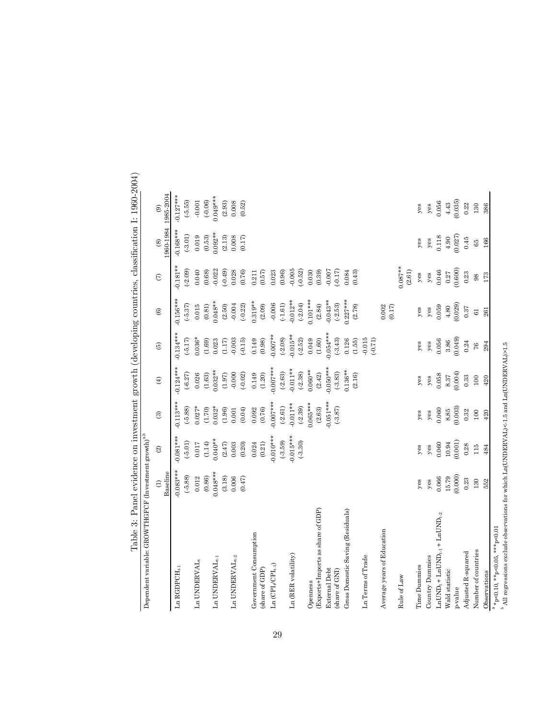| Dependent variable: GROWTHGFCF (Investment growth) $^{a,b}$                |                             |                          |                      |                      |                      |                          |                      |               |                                       |
|----------------------------------------------------------------------------|-----------------------------|--------------------------|----------------------|----------------------|----------------------|--------------------------|----------------------|---------------|---------------------------------------|
|                                                                            | Baseline<br>$\widehat{\Xi}$ | $\widehat{\mathfrak{A}}$ | $\odot$              | $\oplus$             | $\widehat{\omega}$   | $\widehat{\mathfrak{S}}$ | $\epsilon$           | $\circledast$ | 1960-1984 1985-2004<br>$\circledcirc$ |
|                                                                            |                             |                          |                      |                      |                      |                          |                      |               |                                       |
| $Ln$ $RGDPCH_{t-1}$                                                        | $0.083***$                  | $0.081***$               | $0.113***$           | $0.124***$           | $0.134***$           | $0.156***$               | $0.181**$            | $0.168***$    | $0.127***$                            |
|                                                                            | $(-5.88)$                   | $(-5.01)$                | $(-5.88)$            | $(-6.27)$            | $(-5.17)$            | (.5.37)                  | $(-2.09)$            | (.3.01)       | $(-5.55)$                             |
| $\mathop{\mathtt{Ln}}\nolimits$ UNDERVAL $_{\mathtt{t}}$                   | 0.012                       | 0.017                    | $0.027*$             | 0.026                | $0.036*$             | 0.015                    | 0.040                | 0.019         | $-0.001$                              |
|                                                                            | $_{(0.86)}$                 | (1.14)                   | (1.70)               | (1.63)               | (1.69)               | (0.81)                   | (0.68)               | (0.53)        | $(-0.06)$                             |
| $\texttt{Ln}$ UNDERVAL <sub>t-1</sub>                                      | $0.048***$                  | $0.040**$                | $0.032*$             | $0.032**$            | 0.023                | $0.048**$                | $-0.022$             | $0.092**$     | $0.049***$                            |
|                                                                            | (3.18)                      | $(2.47)$                 | $\left( 1.96\right)$ | $(1.97)$             | (1.17)               | (2.50)                   | $(-0.49)$            | (2.13)        | (2.93)                                |
| Ln UNDERVAL <sub>t-2</sub>                                                 | $0.006\,$                   | 0.003                    | 0.001                | $-0.000$             | $-0.003$             | $-0.004$                 | 0.028                | 0.008         | 0.008                                 |
|                                                                            | (0.47)                      | $(0.20)$                 | $(0.04)$             | $(-0.02)$            | $(-0.15)$            | $(-0.22)$                | (0.76)               | (0.17)        | (0.52)                                |
| Government Consumption                                                     |                             | 0.024                    | 0.092                | 0.149                | 0.149                | $0.319**$                | 0.211                |               |                                       |
| (share of GDP)                                                             |                             | $(0.21)$                 | (0.76)               | (1.20)               | (0.98)               | (2.09)                   | (0.57)               |               |                                       |
| Ln $(CPIt/CPIt-1)$                                                         |                             | $0.010***$               | $0.007***$           | $0.007***$           | $0.007**$            | $-0.006$                 | 0.023                |               |                                       |
|                                                                            |                             | $(-3.59)$                | $(-2.61)$            | $(-2.63)$            | $(-2.08)$            | $(-1.61)$                | (0.96)               |               |                                       |
| Ln (RER volatility)                                                        |                             | $0.015***$               | $0.011***$           | $0.011**$            | $0.015**$            | $0.012***$               | $-0.005$             |               |                                       |
|                                                                            |                             | $(-3.30)$                | $(-2.39)$            | $(-2.38)$            | $(-2.52)$            | $(-2.04)$                | (.0.52)              |               |                                       |
| Openness                                                                   |                             |                          | $0.065***$           | $0.060**$            | 0.049                | $0.101***$               | 0.030                |               |                                       |
| (Exports+Imports as share of GDP)                                          |                             |                          | $\left( 2.63\right)$ | $(2.42)$<br>0.050*** | $(1.60)$<br>0.054*** | (2.84)                   | (0.39)               |               |                                       |
| <b>External Debt</b>                                                       |                             |                          | $0.051***$           |                      |                      | $0.043**$                | 0.007                |               |                                       |
| (share of GNI)                                                             |                             |                          | $(-3.87)$            | $(-3.83)$            | $(-3.43)$            | $(-2.53)$                | $(-0.17)$            |               |                                       |
| Gross Domestic Saving (Residuals)                                          |                             |                          |                      | $0.136**$            | 0.126                | $0.227***$               | 0.084                |               |                                       |
|                                                                            |                             |                          |                      | (2.16)               | (1.55)               | (2.78)                   | (0.43)               |               |                                       |
| Ln Terms of Trade                                                          |                             |                          |                      |                      | $-0.015$<br>(.0.71)  |                          |                      |               |                                       |
| Average years of Education                                                 |                             |                          |                      |                      |                      | 0.002<br>(0.17)          |                      |               |                                       |
| Rule of Law                                                                |                             |                          |                      |                      |                      |                          | $0.087***$<br>(2.61) |               |                                       |
| Time Dummies                                                               | yes                         | yes                      | yes                  | yes                  | yes                  | $y$ es                   | $y$ es               | $y$ es        | $y$ es                                |
| Country Dummies                                                            | $y$ es                      | $y$ es                   | $y$ es               | $y$ es               | $y$ es               | $y$ es                   | $y$ es               | $y$ es        | $y$ es                                |
| $\text{LnUND}_{t} + \text{LnUND}_{t\text{-}1} + \text{LnUND}_{t\text{-}2}$ | 0.066                       | 0.060                    | 0.060                | 0.058                | 0.056                | 0.059                    | 0.046                | 0.118         | 0.056                                 |
| Wald statistic                                                             | $15.79$<br>$(0.000)$        | 10.94                    | $8.85$<br>$(0.003)$  |                      | $3.86\,$             | $4.80\,$                 | $0.27$<br>$(0.600)$  | $4.90\,$      | $4.43\,$                              |
| p-value                                                                    |                             | (0.001)                  |                      | $8.37$<br>$(0.004)$  | (0.049)              | (0.029)                  |                      | 0.027         | (0.035)                               |
| Adjusted R-squared                                                         | 0.23                        | 0.28                     | 0.32                 | 0.33                 | 0.24                 | 0.37                     | 0.23                 | 0.45          | 0.22                                  |
| Number of countries                                                        | 130                         | 115                      | 100                  | 100                  | $76\,$               | 61                       | 98                   | 65            | 130                                   |
| Observations                                                               | 552                         | 484                      | 420                  | 420                  | 294                  | 261                      | 173                  | 166           | 386                                   |
| $a * p < 0.10, * p < 0.05, ** p < 0.01$                                    |                             |                          |                      |                      |                      |                          |                      |               |                                       |

Table 3: Panel evidence on investment growth (developing countries, classification I: 1960-2004) Table 3: Panel evidence on investment growth (developing countries, classification I: 1960-2004)

29

م

All regressions exclude observations for which Ln(UNDERVAL)<-1.5 and Ln(UNDERVAL)>1.5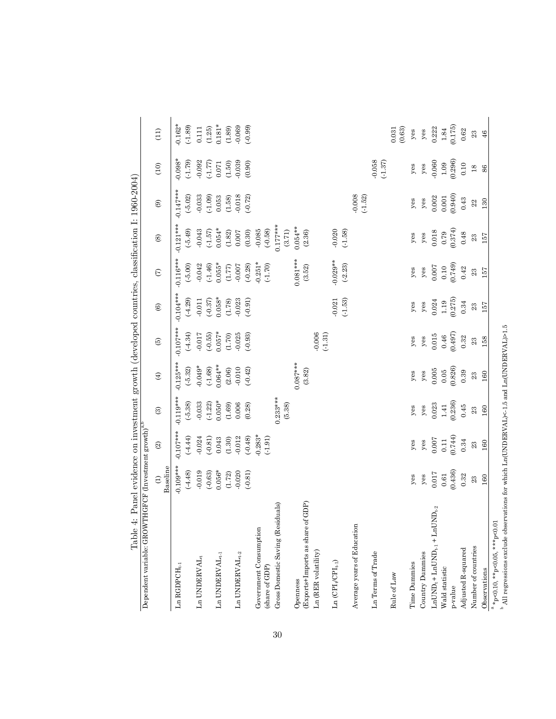| Dependent variable: GROWTHGFCF (Investment growth) $^{a,b}$                                    |                                              |                                                        |                                                       |                                                        |                       |                                                       |                                                       |                                                        |                                                        |                                                |                                                             |
|------------------------------------------------------------------------------------------------|----------------------------------------------|--------------------------------------------------------|-------------------------------------------------------|--------------------------------------------------------|-----------------------|-------------------------------------------------------|-------------------------------------------------------|--------------------------------------------------------|--------------------------------------------------------|------------------------------------------------|-------------------------------------------------------------|
|                                                                                                | $\widehat{c}$                                | $\widehat{\mathfrak{D}}$                               | $\odot$                                               | $\bigoplus$                                            | $\odot$               | $\circlede$                                           | $\widehat{\epsilon}$                                  | $\circledcirc$                                         | $\circledcirc$                                         | $\begin{pmatrix} 1 & 0 \\ 0 & 1 \end{pmatrix}$ | (11)                                                        |
|                                                                                                | Baseline                                     |                                                        |                                                       |                                                        |                       |                                                       |                                                       |                                                        |                                                        |                                                |                                                             |
| ${\rm Ln}$ RGDPCH, 1                                                                           | $0.109***$                                   | $-0.107***$                                            | $-0.119***$                                           | $0.125***$                                             | $-0.107***$           | $-0.104***$                                           | $0.116***$                                            | $-0.121***$                                            | $-0.147***$                                            | $0.098*$                                       | $0.162*$                                                    |
|                                                                                                | (.4.48)                                      | $(-4.44)$                                              | $(-5.38)$                                             | $(-5.32)$                                              | (.4.34)               | $(-4.29)$                                             | $(-5.00)$                                             | $(-5.49)$                                              | $(-5.02)$                                              | (1.79)                                         | (.1.89)                                                     |
| $Ln$ UNDERVAL <sub>t</sub>                                                                     | $-0.019$                                     | $-0.024$                                               | 0.033                                                 | $-0.049*$                                              | $-0.017$              | $-0.011$                                              | $-0.042$                                              | $-0.043$                                               | $-0.033$                                               | 0.092                                          |                                                             |
|                                                                                                | $(-0.63)$                                    | $(-0.81)$                                              | (.1.22)                                               | (.1.68)                                                | (.0.55)               | $(-0.37)$                                             |                                                       |                                                        | (.1.09)                                                | (1.77)                                         |                                                             |
| Ln UNDERVAL $_{\rm t\text{-}1}$                                                                | $0.056*$                                     | 0.043                                                  | $0.050*$                                              | $0.064**$                                              | $0.057*$              | $0.058*$                                              | $(-1.46)$<br>0.055*                                   | $(.1.57)$<br>0.054*                                    | 0.053                                                  | 0.071                                          | $\begin{array}{c} 0.111 \\ (1.25) \\ 0.181^{*} \end{array}$ |
|                                                                                                | (1.72)                                       | $(1.30)$                                               | (1.69)                                                |                                                        |                       |                                                       |                                                       |                                                        | (1.58)                                                 | $(1.50)$                                       |                                                             |
| ${\rm Ln}$ UNDERVAL $_{t\text{-}2}$                                                            | $-0.020$                                     | $-0.012$                                               | 0.006                                                 | (2.06)                                                 | $(1.70)$<br>$0.025$   | $(1.78)$<br>$-0.023$                                  | $(1.77)$ -0.007 $\,$                                  | $\begin{array}{c} (1.82) \\ 0.007 \end{array}$         | $-0.018$                                               | $-0.039$                                       | $(1.89)$<br>0.069                                           |
|                                                                                                | $(-0.81)$                                    | (.0.48)                                                | (0.28)                                                | $(-0.42)$                                              | $(-0.93)$             | (.0.91)                                               | $(-0.28)$                                             | (0.30)                                                 | $(-0.72)$                                              | (0.90)                                         | (.0.99)                                                     |
| Government Consumption                                                                         |                                              | $-0.283*$                                              |                                                       |                                                        |                       |                                                       | $-0.251*$                                             | (82.0)                                                 |                                                        |                                                |                                                             |
| (share of GDP)                                                                                 |                                              | $(-1.91)$                                              |                                                       |                                                        |                       |                                                       | (.1.70)                                               |                                                        |                                                        |                                                |                                                             |
| Gross Domestic Saving (Residuals)                                                              |                                              |                                                        | $0.233***$<br>(5.38)                                  |                                                        |                       |                                                       |                                                       | $0.177***$                                             |                                                        |                                                |                                                             |
|                                                                                                |                                              |                                                        |                                                       |                                                        |                       |                                                       |                                                       | (3.71)                                                 |                                                        |                                                |                                                             |
| Openness                                                                                       |                                              |                                                        |                                                       | $0.087***$                                             |                       |                                                       | $0.081***$                                            | $0.054**$                                              |                                                        |                                                |                                                             |
| (Exports+Imports as share of GDP)                                                              |                                              |                                                        |                                                       | (3.82)                                                 |                       |                                                       | (3.52)                                                | (2.36)                                                 |                                                        |                                                |                                                             |
| $Ln$ ( $RER$ volatility)                                                                       |                                              |                                                        |                                                       |                                                        | $-0.006$<br>$(-1.31)$ |                                                       |                                                       |                                                        |                                                        |                                                |                                                             |
| Ln $(\mathbf{CPI}_t/\mathbf{CPI}_{t\text{-}1})$                                                |                                              |                                                        |                                                       |                                                        |                       | $-0.021$                                              | $-0.029**$                                            | $-0.020$                                               |                                                        |                                                |                                                             |
|                                                                                                |                                              |                                                        |                                                       |                                                        |                       | $(-1.53)$                                             | $(-2.23)$                                             | $(-1.58)$                                              |                                                        |                                                |                                                             |
|                                                                                                |                                              |                                                        |                                                       |                                                        |                       |                                                       |                                                       |                                                        |                                                        |                                                |                                                             |
| Average years of Education                                                                     |                                              |                                                        |                                                       |                                                        |                       |                                                       |                                                       |                                                        | $-0.008$<br>$(-1.52)$                                  |                                                |                                                             |
| Ln Terms of Trade                                                                              |                                              |                                                        |                                                       |                                                        |                       |                                                       |                                                       |                                                        |                                                        | 0.058<br>(.1.37)                               |                                                             |
| Rule of Law                                                                                    |                                              |                                                        |                                                       |                                                        |                       |                                                       |                                                       |                                                        |                                                        |                                                | (0.63)<br>0.031                                             |
| Time Dummies                                                                                   | $y$ es                                       | $y$ es                                                 | $y$ es                                                | $y$ es                                                 | $y$ es                | $y$ es                                                | $y$ es                                                | $y$ es                                                 | $y$ es                                                 | $y$ es                                         | $y$ es                                                      |
| Country Dummies                                                                                | $y$ es                                       | ${\gamma}{\rm es}$                                     | $y$ es                                                | $y$ es                                                 | $y$ es                | $y$ es                                                | $y$ es                                                | $y$ es                                                 | $y$ es                                                 | $y$ es                                         | $y$ es                                                      |
| $\texttt{LnUND}_{t} + \texttt{LnUND}_{t\text{-}1} + \texttt{LnUND}_{t\text{-}2}$               | $0.017\,$                                    |                                                        | $\begin{array}{c} 0.023 \\ 1.41 \\ 0.236 \end{array}$ |                                                        | 0.015                 |                                                       |                                                       |                                                        |                                                        | $-0.060$<br>$1.09$<br>$(0.296)$                |                                                             |
| Wald statistic                                                                                 |                                              | $\begin{array}{c} 0.007 \\ 0.11 \\ 0.744) \end{array}$ |                                                       | $\begin{array}{c} 0.005 \\ 0.05 \\ 0.826) \end{array}$ |                       |                                                       |                                                       | $\begin{array}{c} 0.018 \\ 0.79 \\ 0.374) \end{array}$ | $\begin{array}{c} 0.002 \\ 0.001 \\ 0.940 \end{array}$ |                                                | $\begin{array}{c} 0.222 \\ 1.84 \\ 0.175 \end{array}$       |
| p-value                                                                                        | $\begin{array}{c} 0.61 \\ 0.436 \end{array}$ |                                                        |                                                       |                                                        | $0.46$<br>$(0.497)$   | $\begin{array}{c} 0.024 \\ 1.19 \\ 0.275 \end{array}$ | $\begin{array}{c} 0.007 \\ 0.10 \\ 0.749 \end{array}$ |                                                        |                                                        |                                                |                                                             |
| Adjusted R-squared                                                                             | 0.32                                         | $\rm 0.34$                                             | 0.45                                                  | 0.39                                                   | $\rm 0.32$            | $\rm 0.34$                                            | 0.42                                                  | $0.48\,$                                               | 0.43                                                   | $0.10\,$                                       | $0.62\,$                                                    |
| Number of countries                                                                            | 23                                           | 23                                                     | 23                                                    | 23                                                     | 23                    | 23                                                    | 23                                                    | $23\,$                                                 | $22\,$                                                 | $\frac{8}{2}$                                  | 23                                                          |
| Observations                                                                                   | 160                                          | 160                                                    | 160                                                   | 160                                                    | 158                   | 157                                                   | 157                                                   | 157                                                    | 130                                                    | 86                                             | 46                                                          |
| $a * p < 0.10, * p < 0.05, * * p < 0.01$<br>معام مالاساليد<br>$\frac{b}{4}$ A 11 $\frac{1}{2}$ | ا عاملنا الم                                 | ATNIDEDVIAT>1.5                                        |                                                       | $1.7$ TATATIONTATAT                                    |                       |                                                       |                                                       |                                                        |                                                        |                                                |                                                             |

All regressions exclude observations for which Ln(UNDERVAL)<-1.5 and Ln(UNDERVAL)>1.5

Table 4: Panel evidence on investment growth (developed countries, classification I: 1960-2004) Table 4: Panel evidence on investment growth (developed countries, classification I: 1960-2004)

30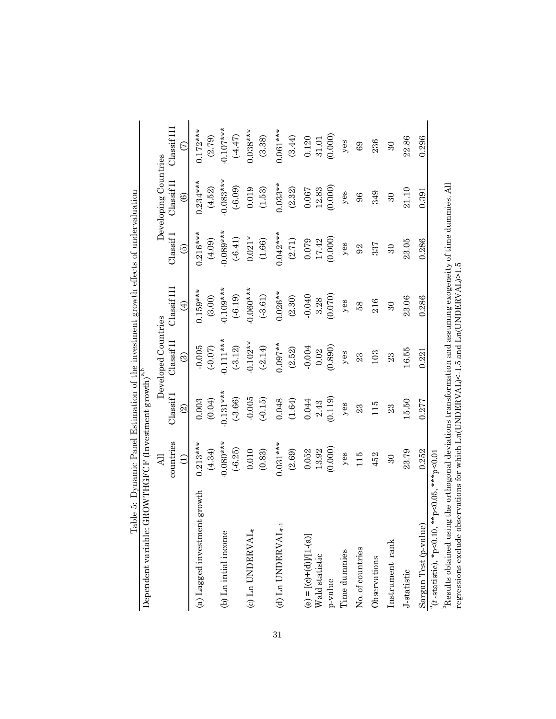| Dependent variable:                                                                                                     | ${\rm GROWTHGFCF}$ (Investment growth) $^{\rm a,b}$ |                          |                     |             |               |                        |             |
|-------------------------------------------------------------------------------------------------------------------------|-----------------------------------------------------|--------------------------|---------------------|-------------|---------------|------------------------|-------------|
|                                                                                                                         | $\overline{AB}$                                     |                          | Developed Countries |             |               | Developing Countries   |             |
|                                                                                                                         | countries                                           | ClassifI                 | Ulassif II          | Classif III | Classif       | $Classi$ $I$           | Classif III |
|                                                                                                                         | Э                                                   | $\widehat{\mathfrak{A}}$ | ම                   | $\bigoplus$ | $\widehat{e}$ | $\widehat{\mathbf{e}}$ | E           |
| (a) Lagged investment growth                                                                                            | $0.213***$                                          | 0.003                    | $-0.005$            | $0.159***$  | $0.216***$    | $0.234***$             | $0.172***$  |
|                                                                                                                         | (4.34)                                              | (0.04)                   | (0.07)              | (3.00)      | (4.09)        | (4.52)                 | (2.79)      |
| (b) Ln intial income                                                                                                    | $-0.080***$                                         | $-0.131***$              | $-0.111***$         | $-0.109***$ | $0.089***$    | $-0.083***$            | $-0.107***$ |
|                                                                                                                         | $(-6.25)$                                           | $(-3.66)$                | $(-3.12)$           | $(-6.19)$   | $(-6.41)$     | $(-6.09)$              | (4.47)      |
| (c) Ln UNDERVAL <sub>t</sub>                                                                                            | 0.010                                               | $-0.005$                 | $-0.102**$          | $0.060***$  | $0.021*$      | 0.019                  | $0.038***$  |
|                                                                                                                         | (0.83)                                              | $(-0.15)$                | $(-2.14)$           | $(-3.61)$   | $(1.66)$      | (1.53)                 | (3.38)      |
| (d) Ln UNDERVAL $_{t\text{-}1}$                                                                                         | $0.031***$                                          | 0.048                    | $0.097**$           | $0.026**$   | $0.042***$    | $0.033**$              | $0.061***$  |
|                                                                                                                         | (2.69)                                              | $(1.64)$                 | (2.52)              | (2.30)      | (2.71)        | (2.32)                 | (3.44)      |
|                                                                                                                         | 0.052                                               | 0.044                    | $-0.004$            | $-0.040$    | 0.079         | 0.067                  | 0.120       |
| $\begin{array}{l} \mbox{\bf (e)} = \mbox{\bf [(c)+(d)]/[l-(a)]} \\ \mbox{\bf W}\mbox{ald statistic} \end{array}$        | 13.92                                               | 2.43                     | 0.02                | 3.28        | 17.42         | 12.83                  | 31.01       |
| p-value                                                                                                                 | (0.000)                                             | (0.119)                  | (0.890)             | (0.070)     | (0.000)       | (0.000)                | (0.000)     |
| Time dummies                                                                                                            | $y$ es                                              | $y$ es                   | $y$ es              | $y$ es      | $y$ es        | $y$ es                 | $y$ es      |
| No. of countries                                                                                                        | 115                                                 | 23                       | 23                  | 58          | 92            | 96                     | 69          |
| Observations                                                                                                            | 452                                                 | 115                      | 103                 | 216         | 337           | 349                    | 236         |
| Instrument rank                                                                                                         | $30\,$                                              | 23                       | 23                  | $30\,$      | $\Omega$      | $30\,$                 | $\Omega$    |
| J-statistic                                                                                                             | 23.79                                               | 15.50                    | 16.55               | 23.06       | 23.05         | 21.10                  | 22.86       |
| Sargan Test (p-value)                                                                                                   | 0.252                                               | 0.277                    | 0.221               | 0.286       | 0.286         | 0.391                  | 0.296       |
| $a(t - \text{statistic})$ , * p<0.10, ** p<0.05, *** p<0.01                                                             |                                                     |                          |                     |             |               |                        |             |
| $^{\rm b}$ Results obtained using the orthogonal deviations transformation and assuming exogeneity of time dummies. All |                                                     |                          |                     |             |               |                        |             |

regressions exclude observations for which Ln(UNDERVAL)<-1.5 and Ln(UNDERVAL)>1.5

Table 5: Dynamic Panel Estimation of the investment growth effects of undervaluation Table 5: Dynamic Panel Estimation of the investment growth effects of undervaluation

31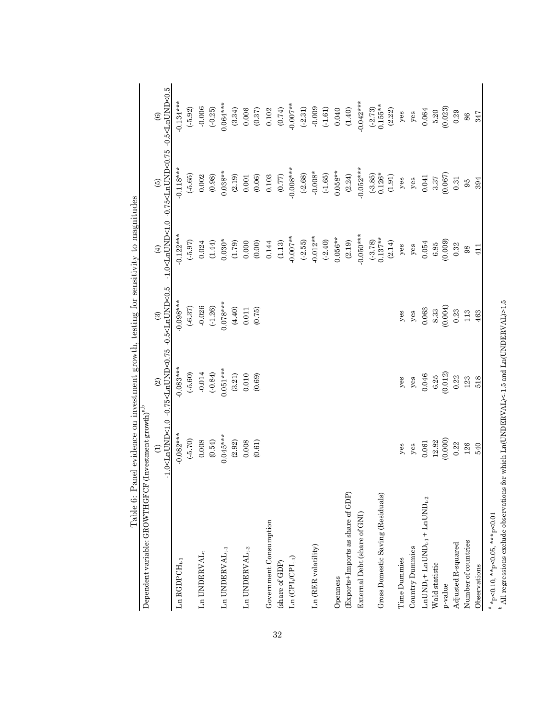|                                                                                  | Table 6: Panel evidence on investment growth, testing for sensitivity to magnitudes |                                                                                                          |             |            |                                                                                               |                      |
|----------------------------------------------------------------------------------|-------------------------------------------------------------------------------------|----------------------------------------------------------------------------------------------------------|-------------|------------|-----------------------------------------------------------------------------------------------|----------------------|
| Dependent variable: GROWTHGFCF (Investment growth) $^{\mathrm{a,b}}$             |                                                                                     |                                                                                                          |             |            |                                                                                               |                      |
|                                                                                  | $\ominus$                                                                           | -1.0 <lnund<1.0 -0.5<lnund<0.5<br="" -0.75<lnund<0.75=""><math>\widehat{\mathfrak{A}}</math></lnund<1.0> | $\odot$     | $\tag{4}$  | -1.0 <lnund<1.0 -0.5<lnund<0.5<br="" -0.75<lnund<0.75=""><math>\widehat{5}</math></lnund<1.0> | $\circlede$          |
| $Ln$ $RGDPCH_{t,1}$                                                              | $-0.082***$                                                                         | $-0.083***$                                                                                              | $-0.098***$ | $0.122***$ | $0.118***$                                                                                    | $-0.134***$          |
|                                                                                  | $(-5.70)$                                                                           | (5.60)                                                                                                   | $(-6.37)$   | $(-5.97)$  | $(-5.65)$                                                                                     | $(-5.92)$            |
| $\text{Ln}$ UNDERVAL,                                                            | 0.008                                                                               | $-0.014$                                                                                                 | $-0.026$    | 0.024      | 0.002                                                                                         | $-0.006$             |
|                                                                                  | (0.54)                                                                              | (.0.84)                                                                                                  | (.1.26)     | (1.44)     | (0.98)                                                                                        | $(-0.25)$            |
| Ln UNDERVAL $_{\rm t\text{-}1}$                                                  | $0.045***$                                                                          | $0.051***$                                                                                               | $0.078***$  | $0.030*$   | $0.038**$                                                                                     | $0.064***$           |
|                                                                                  | (2.92)                                                                              | $(3.21)$                                                                                                 | (4.40)      | (1.79)     | (2.19)                                                                                        | (3.34)               |
| Ln UNDERVAL <sub>t-2</sub>                                                       | 0.008                                                                               | 0.010                                                                                                    | 0.011       | 0.000      | 0.001                                                                                         | 0.006                |
|                                                                                  | (0.61)                                                                              | (0.69)                                                                                                   | (0.75)      | (0.00)     | (0.06)                                                                                        | $\left(0.37\right)$  |
| Government Consumption                                                           |                                                                                     |                                                                                                          |             | 0.144      | 0.103                                                                                         | $0.102\,$            |
| (share of GDP)                                                                   |                                                                                     |                                                                                                          |             | (1.13)     | (0.77)                                                                                        | $(\pm 7.0)$          |
| Ln $(CPIt/CPIt-1)$                                                               |                                                                                     |                                                                                                          |             | $-0.007**$ | $-0.008***$                                                                                   | $-0.007**$           |
|                                                                                  |                                                                                     |                                                                                                          |             | $(-2.55)$  | $(-2.68)$                                                                                     | $(-2.31)$            |
| Ln (RER volatility)                                                              |                                                                                     |                                                                                                          |             | $-0.012**$ | $-0.008*$                                                                                     | $-0.009$             |
|                                                                                  |                                                                                     |                                                                                                          |             | $(-2.40)$  | (.1.65)                                                                                       | (.1.61)              |
| Openness                                                                         |                                                                                     |                                                                                                          |             | $0.056**$  | $0.058**$                                                                                     | 0.040                |
| (Exports+Imports as share of GDP)                                                |                                                                                     |                                                                                                          |             | (2.19)     | (2.24)                                                                                        | (1.40)               |
| External Debt (share of GNI)                                                     |                                                                                     |                                                                                                          |             | $-0.050**$ | $0.052***$                                                                                    | $0.042***$           |
|                                                                                  |                                                                                     |                                                                                                          |             | $(-3.78)$  | $(-3.85)$<br>0.126*                                                                           | $(-2.73)$<br>0.155** |
| Gross Domestic Saving (Residuals)                                                |                                                                                     |                                                                                                          |             | $0.137**$  |                                                                                               |                      |
|                                                                                  |                                                                                     |                                                                                                          |             | (2.14)     | $(1.91)$                                                                                      | (2.22)               |
| <b>Time Dummies</b>                                                              | $y$ es                                                                              | $y$ es                                                                                                   | $y$ es      | $y$ es     | $y$ es                                                                                        | $y$ es               |
| Country Dummies                                                                  | $y$ es                                                                              | $y$ es                                                                                                   | $y$ es      | $y$ es     | $y$ es                                                                                        | $y$ es               |
| $\texttt{LnUND}_{t} + \texttt{LnUND}_{t\text{-}1} + \texttt{LnUND}_{t\text{-}2}$ | 0.061                                                                               | 0.046                                                                                                    | 0.063       | 0.054      | 0.041                                                                                         | 0.064                |
| Wald statistic                                                                   | 12.82                                                                               | $6.25\,$                                                                                                 | 8.33        | 6.85       | $3.37$                                                                                        | 5.20                 |
| p-value                                                                          | (0.000)                                                                             | (0.012)                                                                                                  | (0.004)     | (0.009)    | (0.067)                                                                                       | (0.023)              |
| Adjusted R-squared                                                               | 0.22                                                                                | 0.22                                                                                                     | 0.23        | 0.32       | 0.31                                                                                          | 0.29                 |
| Number of countries                                                              | 126                                                                                 | 123                                                                                                      | 113         | 98         | 95                                                                                            | 86                   |
| Observations                                                                     | 540                                                                                 | 518                                                                                                      | 463         | 411        | 394                                                                                           | 347                  |
|                                                                                  |                                                                                     |                                                                                                          |             |            |                                                                                               |                      |

a b \*p<0.10, \*\*p<0.05, \*\*\*p<0.01

All regressions exclude observations for which Ln(UNDERVAL)<-1.5 and Ln(UNDERVAL)>1.5